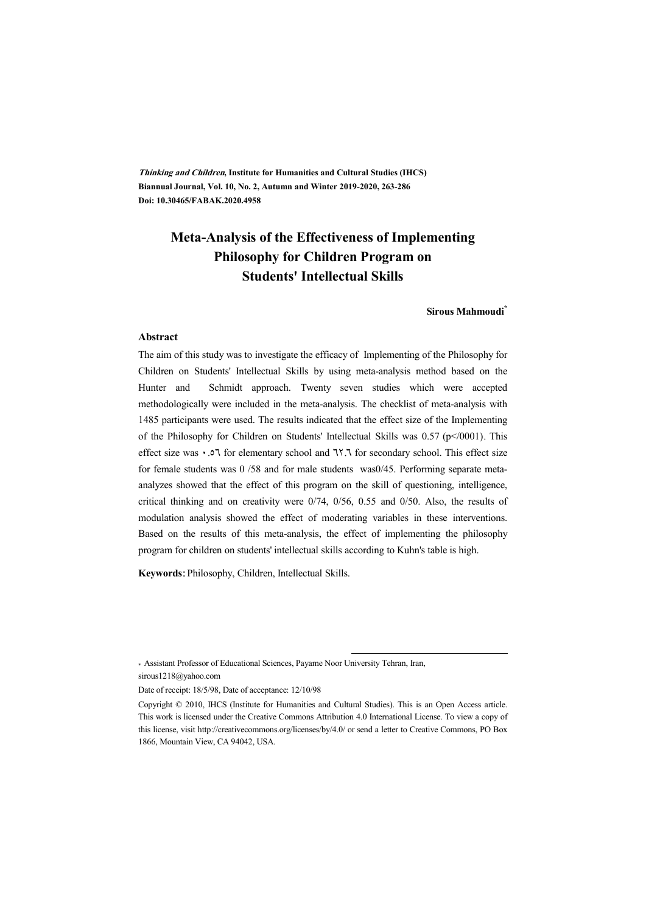**Thinking and Children, Institute for Humanities and Cultural Studies (IHCS) Biannual Journal, Vol. 10, No. 2, Autumn and Winter 2019-2020, 263-286 Doi: 10.30465/FABAK.2020.4958** 

## **Meta-Analysis of the Effectiveness of Implementing Philosophy for Children Program on Students' Intellectual Skills**

**Sirous Mahmoudi\***

#### **Abstract**

The aim of this study was to investigate the efficacy of Implementing of the Philosophy for Children on Students' Intellectual Skills by using meta-analysis method based on the Hunter and Schmidt approach. Twenty seven studies which were accepted methodologically were included in the meta-analysis. The checklist of meta-analysis with 1485 participants were used. The results indicated that the effect size of the Implementing of the Philosophy for Children on Students' Intellectual Skills was 0.57 (p</0001). This effect size was  $\cdot$  . This effect size of the elementary school and 7.7.7 for secondary school. This effect size for female students was 0 /58 and for male students was0/45. Performing separate metaanalyzes showed that the effect of this program on the skill of questioning, intelligence, critical thinking and on creativity were 0/74, 0/56, 0.55 and 0/50. Also, the results of modulation analysis showed the effect of moderating variables in these interventions. Based on the results of this meta-analysis, the effect of implementing the philosophy program for children on students' intellectual skills according to Kuhn's table is high.

**Keywords:** Philosophy, Children, Intellectual Skills.

\* Assistant Professor of Educational Sciences, Payame Noor University Tehran, Iran, sirous1218@yahoo.com

Date of receipt: 18/5/98, Date of acceptance: 12/10/98

:

Copyright © 2010, IHCS (Institute for Humanities and Cultural Studies). This is an Open Access article. This work is licensed under the Creative Commons Attribution 4.0 International License. To view a copy of this license, visit http://creativecommons.org/licenses/by/4.0/ or send a letter to Creative Commons, PO Box 1866, Mountain View, CA 94042, USA.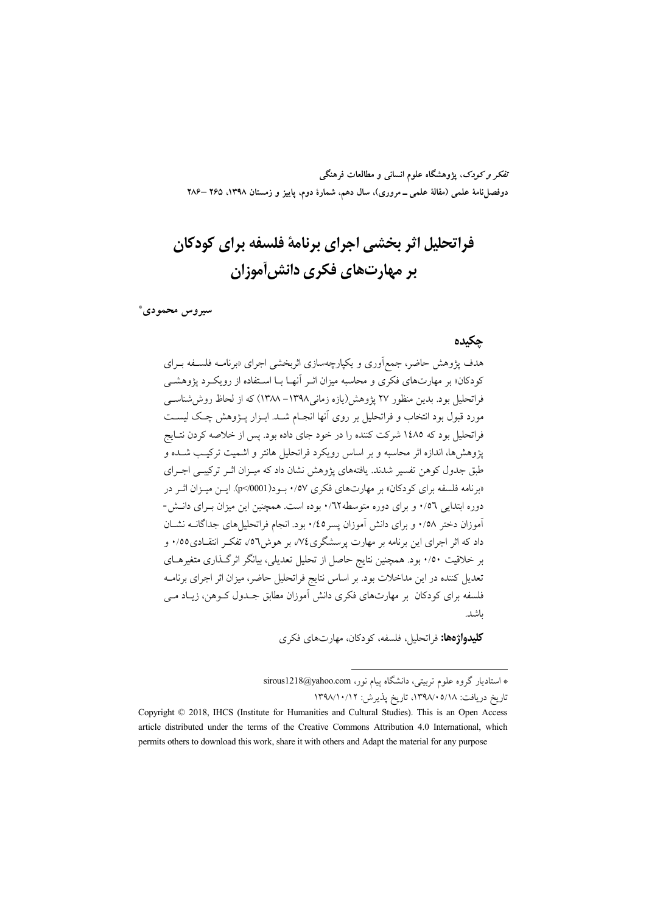تفکر و کودک، یژوهشگاه علوم انسانی و مطالعات فرهنگی دوفصلiامهٔ علمی (مقالهٔ علمی ـ مروری)، سال دهم، شمارهٔ دوم، پاییز و زمستان ۱۳۹۸، ۲۶۵ –۲۸۶

# فراتحليل اثر بخشي اجراي برنامة فلسفه براي كودكان بر مهارتهای فکری دانش[موزان

سيروس محمودي\*

### جكيده

هدف یژوهش حاضر، جمعآوری و یکیارچهسازی اثربخشی اجرای «برنامــه فلســفه بــرای کودکان» بر مهارتهای فکری و محاسبه میزان اثـر آنهـا بــا اســتفاده از رویکــرد یژوهشــی فراتحلیل بود. بدین منظور ۲۷ یژوهش(بازه زمانی ۱۳۹۸– ۱۳۸۸) که از لحاظ روش شناسب مورد قبول بود انتخاب و فراتحلیل بر روی آنها انجبام شبد. ابیزار پیژوهش چیک لیست فراتحلیل بود که ۱٤۸۵ شرکت کننده را در خود جای داده بود. پس از خلاصه کردن نتـایج یژوهش ها، اندازه اثر محاسبه و بر اساس رویکرد فراتحلیل هانتر و اشمیت ترکیب شـده و طبق جدول کوهن تفسیر شدند. یافتههای پژوهش نشان داد که میبزان اثبر ترکیبی اجبرای «برنامه فلسفه برای کو دکان» بر مهارتهای فکری ۰/۵۷ بو د( p</0001). ایــز میــزان اثــر در دوره ابتدایی ۰/۵٦ و برای دوره متوسطه ۰/٦٢ بوده است. همچنین این میزان بهرای دانـش-آموزان دختر ۰/۵۸ و برای دانش آموزان پسر ۰/٤٥ بود. انجام فراتحلیل های جداگانــه نشــان داد که اثر اجرای این برنامه بر مهارت پرسشگری۷۶، بر هوش۲۵٫ تفکیر انتقیادی۱٬۰۵ و بر خلاقیت ٠/٥٠ بود. همچنین نتایج حاصل از تحلیل تعدیلی، بیانگر اثرگذاری متغیرهـای تعدیل کننده در این مداخلات بود. بر اساس نتایج فراتحلیل حاضر، میزان اثر اجرای برنامـه فلسفه برای کودکان پر مهارتهای فکری دانش آموزان مطابق جـدول کـوهن، زیـاد مـی واشد.

**کلیدواژهها:** فراتحلیل، فلسفه، کودکان، مهارتهای فکری

\* استادیار گروه علوم تربیتی، دانشگاه پیام نور، sirous1218@yahoo.com تاریخ دریافت: ۱۳۹۸/۰۵/۱۸، تاریخ پذیرش: ۱۳۹۸/۱۰/۱۲

Copyright © 2018, IHCS (Institute for Humanities and Cultural Studies). This is an Open Access article distributed under the terms of the Creative Commons Attribution 4.0 International, which permits others to download this work, share it with others and Adapt the material for any purpose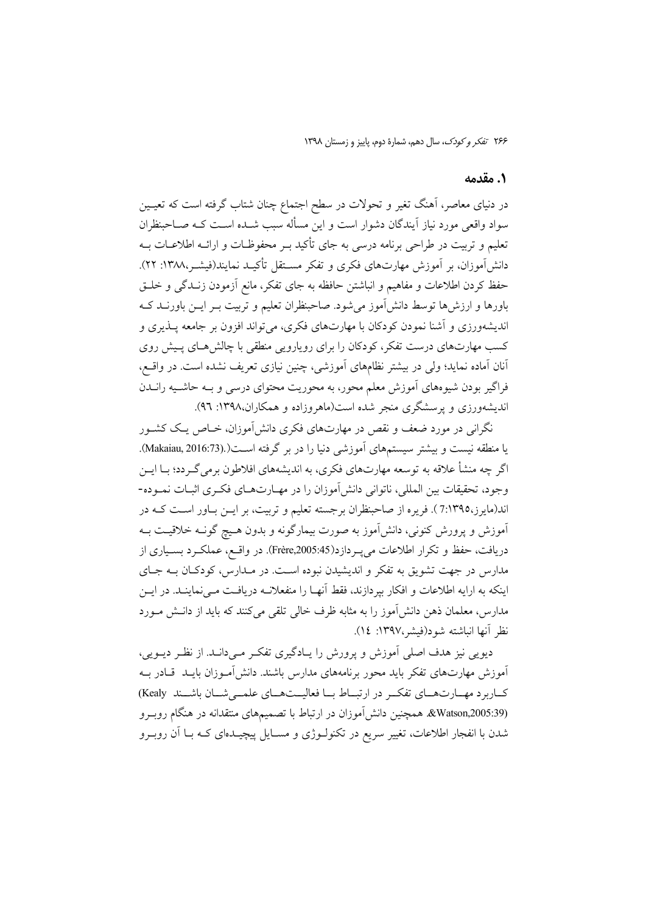### 1. مقدمه

در دنیای معاصر، آهنگ تغیر و تحولات در سطح اجتماع چنان شتاب گرفته است که تعیـین سواد واقعی مورد نیاز آیندگان دشوار است و این مسأله سبب شــده اســت کــه صــاحبنظران تعلیم و تربیت در طراحی برنامه درسی به جای تأکید ب و محفوظیات و ارائیه اطلاعیات بیه دانش]موزان، بر آموزش مهارتهای فکری و تفکر مسـتقل تأکیــد نمایند(فیشـر،۱۳۸۸: ۲۲). حفظ کردن اطلاعات و مفاهیم و انباشتن حافظه به جای تفکر، مانع آزمودن زنـدگی و خلـق باورها و ارزشها توسط دانش]موز میشود. صاحبنظران تعلیم و تربیت بـر ایــن باورنــد کــه انديشهورزي و آشنا نمودن كودكان با مهارتهاي فكري، مي تواند افزون بر جامعه پــذيري و کسب مهارتهای درست تفکر، کودکان را برای رویارویی منطقی با چالش هـای پـیش روی آنان آماده نماید؛ ولی در بیشتر نظامهای آموزشی، چنین نیازی تعریف نشده است. در واقــع، فراگیر بودن شیوههای آموزش معلم محور، به محوریت محتوای درسی و بـه حاشـیه رانــدن اندیشهورزی و پرسشگری منجر شده است(ماهروزاده و همکاران،۱۳۹۸: ۹٦).

نگرانی در مورد ضعف و نقص در مهارتهای فکری دانش آموزان، خــاص یــک کشــور یا منطقه نیست و بیشتر سیستمهای آموزشی دنیا را در بر گرفته اســت(Makaiau, 2016:73). اگر چه منشأ علاقه به توسعه مهارتهای فکری، به اندیشههای افلاطون برمی گـردد؛ بــا ایــن وجود، تحقیقات بین المللی، ناتوانی دانش آموزان را در مهـارتهـای فکـری اثبـات نمـوده-اند(مایرز،7:۱۳۹٥). فریره از صاحبنظران برجسته تعلیم و تربیت، بر ایــن بــاور اســت کــه در آموزش و پرورش کنونی، دانش آموز به صورت بیمارگونه و بدون هـیچ گونــه خلاقیــت بــه دریافت، حفظ و تکرار اطلاعات می یـردازد(Frère,2005:45). در واقـع، عملکـرد بسـیاری از مدارس در جهت تشویق به تفکر و اندیشیدن نبوده است. در مـدارس، کودکـان بـه جـای اینکه به ارایه اطلاعات و افکار بپردازند، فقط آنهـا را منفعلانــه دریافـت مــینماینــد. در ایــن مدارس، معلمان ذهن دانش[موز را به مثابه ظرف خالبی تلقی میکنند که باید از دانـش مــورد نظر آنها انباشته شود(فيشر،١٣٩٧: ١٤).

دیویی نیز هدف اصلی آموزش و پرورش را پـادگیری تفکـر مـیدانـد. از نظـر دیــویی، آموزش مهارتهای تفکر باید محور برنامههای مدارس باشند. دانش آمـوزان بایــد ًقـادر بــه كــاربرد مهــارتهــاي تفكــر در ارتبــاط بــا فعاليــتهــاي علمــي شــان باشــند Kealy) (205:39)&Watson همچنین دانش آموزان در ارتباط با تصمیمهای منتقدانه در هنگام روبـرو شدن با انفجار اطلاعات، تغییر سریع در تکنولـوژی و مســایل پیچیــدهای کــه بــا اَن روبــرو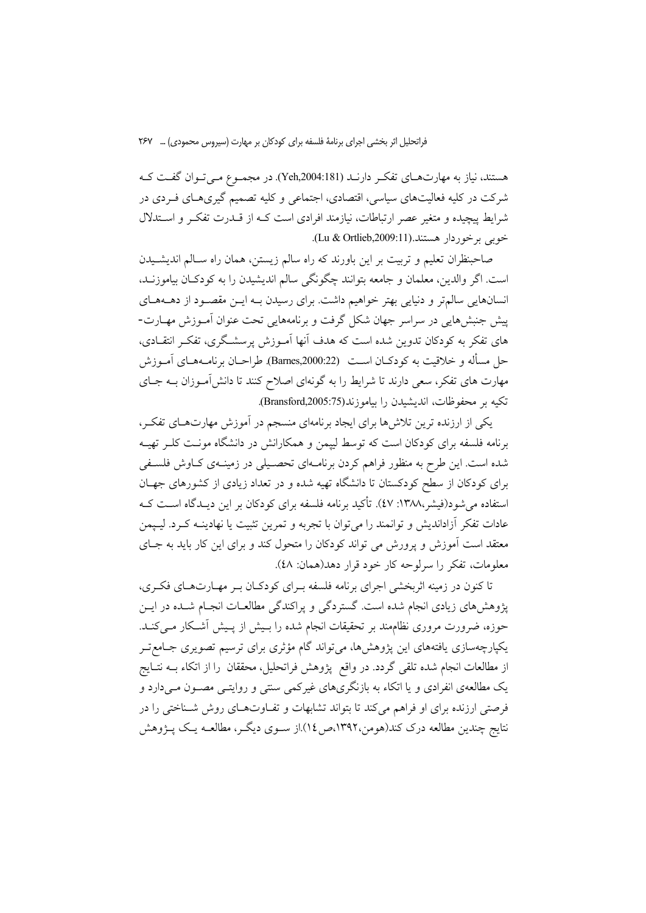هستند، نیاز به مهارتهـای تفکـر دارنــد (Yeh,2004:181). در مجمـوع مـیتـوان گفـت کــه شرکت در کلیه فعالیتهای سیاسی، اقتصادی، اجتماعی و کلیه تصمیم گیریهـای فــردی در ثىرايط پيچيده و متغير عصر ارتباطات، نيازمند افرادى است كــه از قــدرت تفكــر و اســتدلال خوبي برخوردار هستند.(Lu & Ortlieb,2009:11).

صاحبنظران تعلیم و تربیت بر این باورند که راه سالم زیستن، همان راه ســالم اندیشــیدن است. اگر والدین، معلمان و جامعه بتوانند چگونگی سالم اندیشیدن را به کودکــان بیاموزنــد، انسانهایی سالمتر و دنیایی بهتر خواهیم داشت. برای رسیدن بـه ایــن مقصـود از دهــههــای پیش جنبش،هایی در سراسر جهان شکل گرفت و برنامههایی تحت عنوان آمـوزش مهـارت-های تفکر به کودکان تدوین شده است که هدف أنها أمــوزش پرسشــگری، تفکــر انتقــادی، حل مسأله و خلاقيت به كودكــان اســت (Barnes,2000:22). طراحــان برنامــههــاي آمــوزش مهارت های تفکر، سعی دارند تا شرایط را به گونهای اصلاح کنند تا دانش[مــوزان بــه جــای نكيه بر محفوظات، انديشيدن را بياموزند(Bransford,2005:75).

بکی از ارزنده ترین تلاش۱ها برای ایجاد برنامهای منسجم در آموزش مهارتهـای تفکـر، برنامه فلسفه برای کودکان است که توسط لیپمن و همکارانش در دانشگاه مونت کلـر تهیــه شده است. این طرح به منظور فراهم کردن برنامـهای تحصـیلی در زمینـهی کـاوش فلسـفی برای کودکان از سطح کودکستان تا دانشگاه تهیه شده و در تعداد زیادی از کشورهای جهـان استفاده میشود(فیشر،۱۳۸۸: ٤٧). تأکید برنامه فلسفه برای کودکان بر این دیــدگاه اســت کــه عادات تفكر آزادانديش و توانمند را مي توان با تجربه و تمرين تثبيت يا نهادينـه كـرد. ليـيمن معتقد است آموزش و پرورش می تواند کودکان را متحول کند و برای این کار باید به جـای معلومات، تفکر را سرلوحه کار خود قرار دهد(همان: ٤٨).

نا کنون در زمینه اثربخشی اجرای برنامه فلسفه بـرای کودکـان بـر مهـارتـهـای فکـری، پژوهش های زیادی انجام شده است. گستردگی و پراکندگی مطالعـات انجـام شـده در ایــن حوزه، ضرورت مروری نظامِمند بر تحقیقات انجام شده را بـیش از پـیش أشـکار مــیکنــد. یکپارچەسازی یافتەهای این پژوهشها، میتواند گام مؤثری برای ترسیم تصویری جــامع تــر ز مطالعات انجام شده تلقی گردد. در واقع ۖ پژوهش فراتحلیل، محققان ۖ را از اتکاء بــه نتــایج یک مطالعهی انفرادی و یا اتکاء به بازنگریهای غیرکمی سنتی و روایتــی مصــون مــیدارد و فرصتی ارزنده برای او فراهم می کند تا بتواند تشابهات و تفـاوتهـای روش شـناختی را در نتایج چندین مطالعه درک کند(هومن،۱۳۹۲،ص۱۶).از ســوی دیگــر، مطالعــه یــک پــژوهش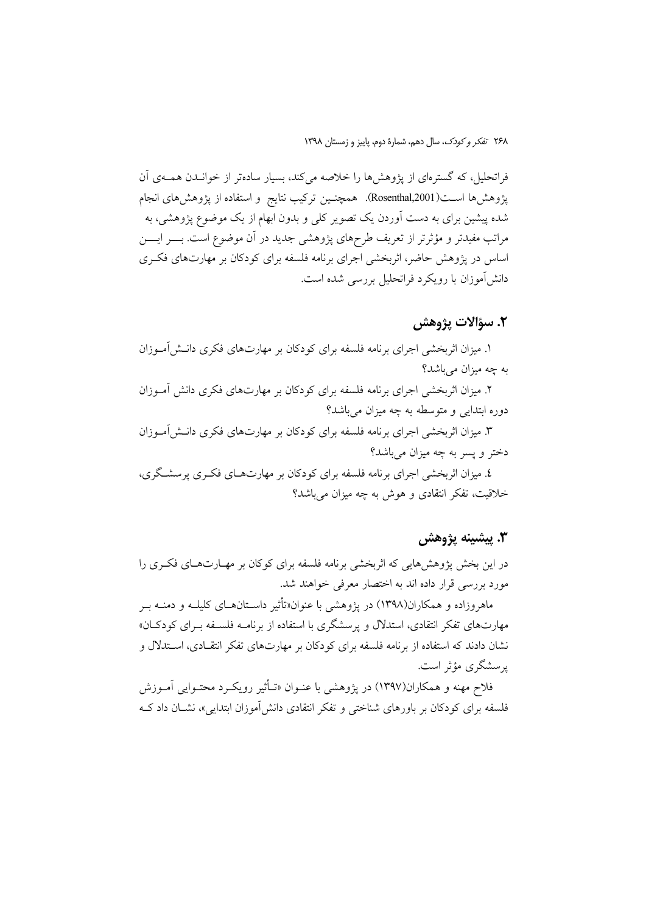فراتحلیل، که گسترمای از پژوهشها را خلاصه می کند، بسیار سادهتر از خوانـدن همـهی آن يژوهش@ا اســت(Rosenthal,2001). همچنــين تركيب نتايج و استفاده از پژوهشهاى انجام شده پیشین برای به دست آوردن یک تصویر کلی و بدون ابهام از یک موضوع پژوهشی، به مراتب مفیدتر و مؤثرتر از تعریف طرحهای یژوهشی جدید در آن موضوع است. بــــر ایـــــن اساس در پژوهش حاضر، اثربخشی اجرای برنامه فلسفه برای کودکان بر مهارتهای فک ری دانش آموزان با رویکرد فراتحلیل بررسی شده است.

### ٢. سؤالات يژوهش

۱. میزان اثربخشی اجرای برنامه فلسفه برای کودکان بر مهارتهای فکری دانــش[مــوزان به چه میزان میباشد؟

۲. میزان اثربخشی اجرای برنامه فلسفه برای کودکان بر مهارتهای فکری دانش آمـوزان دوره ابتدایی و متوسطه به چه میزان می باشد؟

۳. میزان اثربخشی اجرای برنامه فلسفه برای کودکان بر مهارتهای فکری دانـش[مــوزان دختر و پسر به چه میزان می باشد؟

٤. میزان اثربخشی اجرای برنامه فلسفه برای کودکان بر مهارتهـای فکـری پرسشـگری، خلاقیت، تفکر انتقادی و هوش به چه میزان می باشد؟

## ٣. ييشينه يژوهش

در این بخش پژوهشهایی که اثربخشی برنامه فلسفه برای کوکان بر مهـارتهـای فکـری را مورد بررسی قرار داده اند به اختصار معرفی خواهند شد.

ماهروزاده و همکاران(۱۳۹۸) در یژوهشی با عنوان«تأثیر داسـتانهــای کلیلــه و دمنــه بــر مهارتهای تفکر انتقادی، استدلال و پرسشگری با استفاده از برنامــه فلســفه بــرای کودکــان» نشان دادند که استفاده از برنامه فلسفه برای کودکان بر مهارتهای تفکر انتقـادی، اســتدلال و یرسشگری مؤثر است.

فلاح مهنه و همکاران(۱۳۹۷) در پژوهشی با عنــوان «تــأثیر رویکــرد محتــوایی آمــوزش فلسفه برای کودکان بر پاورهای شناختی و تفکر انتقادی دانش آموزان ابتدایی»، نشیان داد ک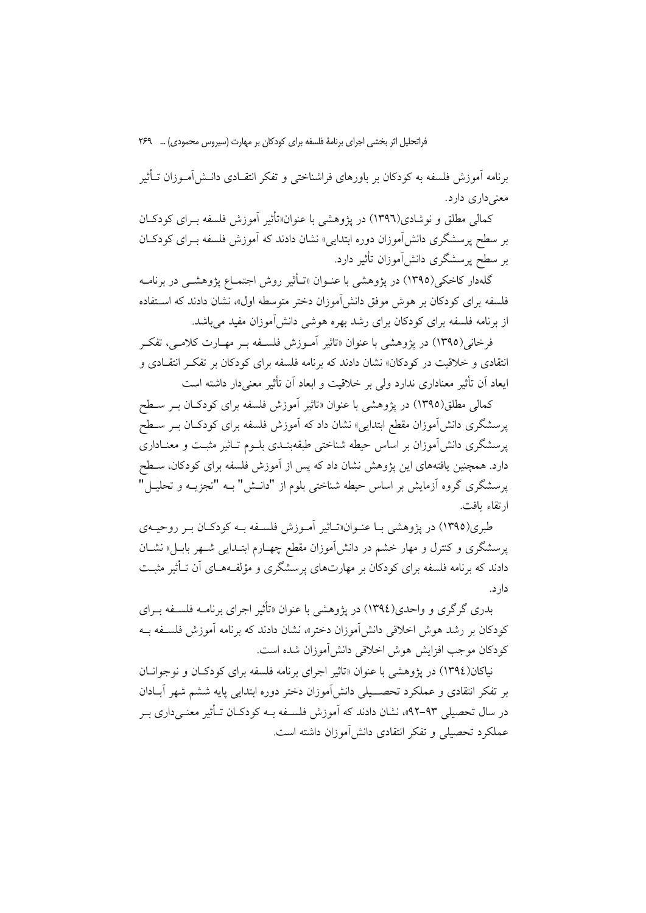برنامه آموزش فلسفه به کودکان بر باورهای فراشناختی و تفکر انتقـادی دانــش آمــوزان تــأثير معنے داری دارد.

کمالی مطلق و نوشادی(۱۳۹٦) در یژوهشی با عنوان«تأثیر آموزش فلسفه بـرای کودکـان بر سطح پرسشگری دانش آموزان دوره ابتدایی» نشان دادند که آموزش فلسفه بـرای کودکـان بر سطح پرسشگری دانشlموزان تأثیر دارد.

گلهدار کاخکی(۱۳۹۵) در یژوهشی با عنـوان «تــأثیر روش اجتمــاع یژوهشــی در برنامــه فلسفه برای کودکان بر هوش موفق دانش آموزان دختر متوسطه اول»، نشان دادند که استفاده از برنامه فلسفه برای کودکان برای رشد بهره هوشبی دانش آموزان مفید می باشد.

فرخاني(١٣٩٥) در يژوهشي با عنوان «تاثير أمـوزش فلسـفه بـر مهـارت كلامـي، تفكـر انتقادی و خلاقیت در کودکان» نشان دادند که برنامه فلسفه برای کودکان بر تفکـر انتقــادی و ایعاد اَن تأثیر معناداری ندارد ولی بر خلاقیت و ابعاد اَن تأثیر معنیدار داشته است

کمالی مطلق(۱۳۹۵) در پژوهشی با عنوان «تاثیر اَموزش فلسفه برای کودکـان بـر سـطح پرسشگری دانشآموزان مقطع ابتدایی» نشان داد که آموزش فلسفه برای کودکـان بــر ســطح پرسشگری دانش آموزان بر اساس حیطه شناختی طبقهبنـدی بلــوم تــاثیر مثبـت و معنــاداری دارد. همچنین یافتههای این پژوهش نشان داد که پس از آموزش فلسفه برای کودکان، ســطح پرسشگری گروه اَزمایش بر اساس حیطه شناختی بلوم از "دانــش" بــه "تجزیــه و تحلیــل" ارتقاء يافت.

طبري(١٣٩٥) در يژوهشي بـا عنــوان«تــاثير آمــوزش فلســفه بــه كودكــان بــر روحيــهي پرسشگری و کنترل و مهار خشم در دانشآموزان مقطع چهـارم ابتــدای<sub>می</sub> شــهر بابــل» نشــان دادند که برنامه فلسفه برای کودکان بر مهارتهای پرسشگری و مؤلفـههـای آن تـأثیر مثبـت دارد.

بدری گرگری و واحدی(١٣٩٤) در یژوهشی با عنوان «تأثیر اجرای برنامــه فلســفه بــرای کودکان بر رشد هوش اخلاقی دانش[موزان دختر»، نشان دادند که برنامه آموزش فلسـفه بــه كودكان موجب افزايش هوش اخلاقي دانش|موزان شده است.

نياكان(١٣٩٤) در پژوهشي با عنوان «تاثير اجراي برنامه فلسفه براي كودكـان و نوجوانــان بر تفکر انتقادی و عملکرد تحصـــیلی دانش[موزان دختر دوره ابتدایی پایه ششم شهر اَبــادان در سال تحصیلی ۹۳–۹۲»، نشان دادند که آموزش فلسـفه بـه کودکـان تــأثیر معنــیداری بــر عملکرد تحصیلی و تفکر انتقادی دانش آموزان داشته است.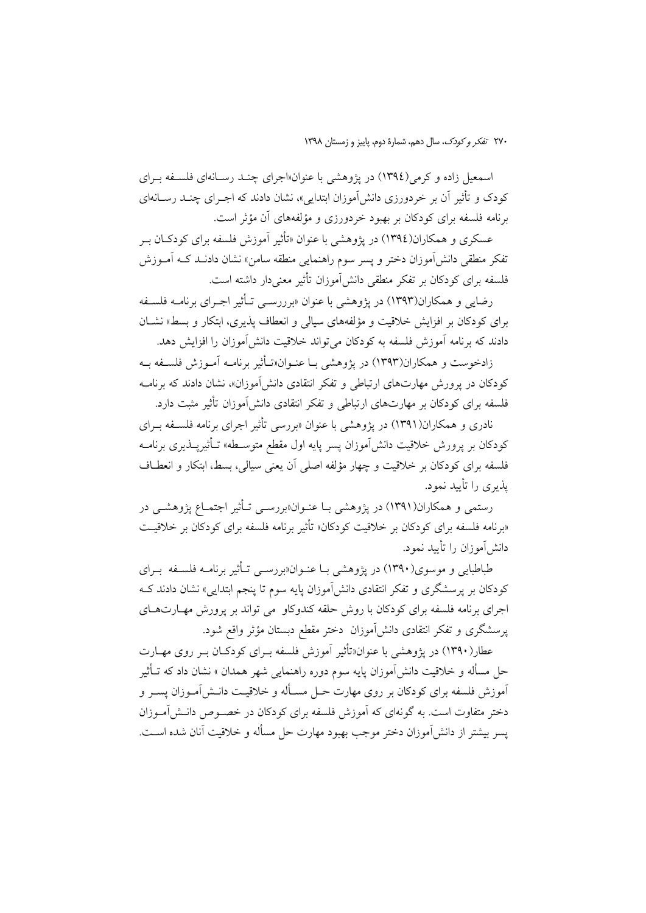اسمعیل زاده و کرمی (١٣٩٤) در یژوهشی با عنوان«اجرای چنـد رسـانهای فلسـفه بـرای کودک و تأثیر آن بر خردورزی دانشآموزان ابتدای<sub>م</sub>»، نشان دادند که اجـرای چنــد رســانهای برنامه فلسفه برای کودکان بر بهبود خردورزی و مؤلفههای آن مؤثر است.

عسکري و همکاران(١٣٩٤) در پژوهشي يا عنوان «تأثير آموزش فلسفه براي کودکـان بـ تفكر منطقى دانش[موزان دختر و يسر سوم راهنمايي منطقه سامن» نشان دادنــد كــه آمــوزش فلسفه برای کودکان بر تفکر منطقی دانش آموزان تأثیر معنی دار داشته است.

رضایی و همکاران(۱۳۹۳) در پژوهشی با عنوان «برررسبی تیأثیر اجبرای برنامیه فلسیفه برای کودکان بر افزایش خلاقیت و مؤلفههای سیالی و انعطاف پذیری، ابتکار و بسط» نشـان دادند که برنامه آموزش فلسفه به کودکان می تواند خلاقیت دانش آموزان را افزایش دهد.

زادخوست و همکاران(۱۳۹۳) در یژوهشی بـا عنـوان«تـأثیر برنامـه آمـوزش فلسـفه بـه کودکان در پرورش مهارتهای ارتباطی و تفکر انتقادی دانشآموزان»، نشان دادند که برنامـه فلسفه برای کودکان بر مهارتهای ارتباطی و تفکر انتقادی دانش آموزان تأثیر مثبت دارد.

نادری و همکاران(۱۳۹۱) در پژوهشی با عنوان «بررسی تأثیر اجرای برنامه فلسـفه بـرای کودکان بر یرورش خلاقیت دانشlموزان پسر پایه اول مقطع متوسـطه» تـأثیریــذیری برنامــه فلسفه برای کودکان بر خلاقیت و چهار مؤلفه اصلی آن یعنی سیالی، بسط، ابتکار و انعطـاف یذیری را تأیید نمود.

رستمي و همكاران(١٣٩١) در يژوهشي بـا عنــوان«بررســي تــأثير اجتمــاع يژوهشــي در «برنامه فلسفه برای کودکان بر خلاقیت کودکان» تأثیر برنامه فلسفه برای کودکان بر خلاقیت دانش[موزان را تأیید نمود.

طباطبایی و موسوی(۱۳۹۰) در پژوهشی بـا عنــوان«بررســی تــأثیر برنامــه فلســفه بــرای کودکان بر پرسشگری و تفکر انتقادی دانش آموزان پایه سوم تا پنجم ابتدایی» نشان دادند ک اجرای برنامه فلسفه برای کودکان با روش حلقه کندوکاو می تواند بر پرورش مهـارتهـای پرسشگری و تفکر انتقادی دانشآموزان دختر مقطع دبستان مؤثر واقع شود.

عطار(۱۳۹۰) در پژوهشی با عنوان«تأثیر آموزش فلسفه بـرای کودکـان بـر روی مهـارت حل مسأله و خلاقیت دانشآموزان پایه سوم دوره راهنمایی شهر همدان » نشان داد که تــأثیر آموزش فلسفه برای کودکان بر روی مهارت حــل مســأله و خلاقیــت دانــش[مــوزان پســر و دختر متفاوت است. به گونهای که آموزش فلسفه برای کودکان در خصـوص دانـش|مـوزان يسر بيشتر از دانش آموزان دختر موجب بهبود مهارت حل مسأله و خلاقيت آنان شده اسـت.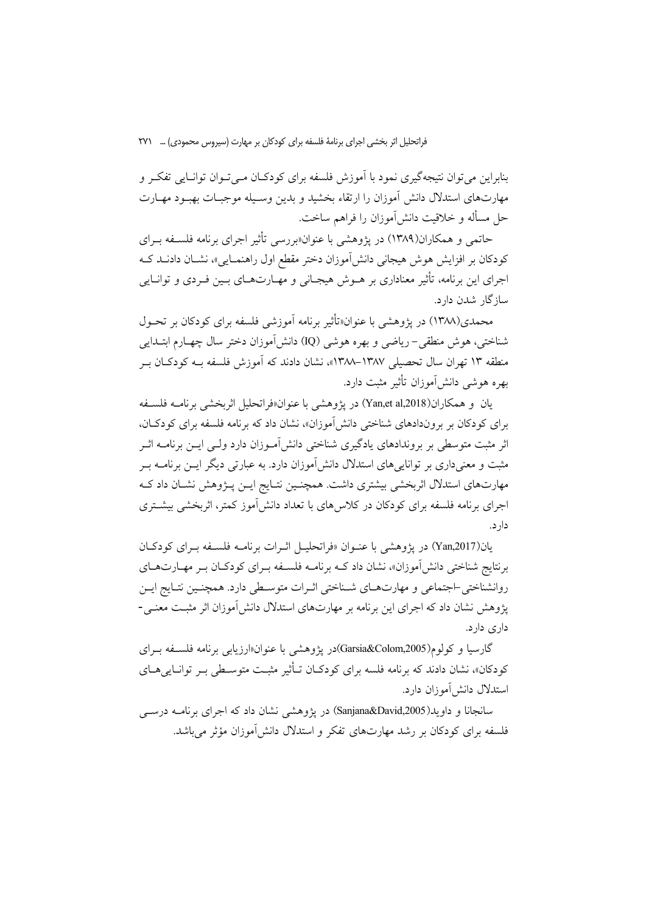بنابراین می توان نتیجه گیری نمود با آموزش فلسفه برای کودکـان مـبی تـوان توانـایی تفکـر و مهارتهای استدلال دانش آموزان را ارتقاء بخشید و بدین وسـیله موجبـات بهبـود مهـارت حل مسأله و خلاقیت دانش آموزان را فراهم ساخت.

حاتمی و همکاران(۱۳۸۹) در یژوهشی با عنوان«بررسی تأثیر اجرای برنامه فلسـفه بـرای کودکان بر افزایش هوش هیجانی دانشآموزان دختر مقطع اول راهنمـایی»، نشــان دادنــد کــه اجرای این برنامه، تأثیر معناداری بر هــوش هیجــانی و مهــارتهــای بــین فــردی و توانــایی ساز گار شدن دارد.

محمدی(۱۳۸۸) در پژوهشی با عنوان«تأثیر برنامه آموزشی فلسفه برای کودکان بر تحــول شناختي، هوش منطقي – رياضي و بهره هوشي (IQ) دانش آموزان دختر سال چهــارم ابتــدايي منطقه ۱۳ تهران سال تحصیلی ۱۳۸۷–۱۳۸۸»، نشان دادند که آموزش فلسفه بـه کودکـان بـر بھرہ ھوشے ِ دانش آموزان تأثیر مثبت دارد.

بان و همكاران(Yan,et al,2018) در يژوهشي با عنوان«فراتحليل اثريخشي برنامـه فلســفه برای کودکان بر بروندادهای شناختی دانش آموزان»، نشان داد که برنامه فلسفه برای کودکـان، اثر مثبت متوسطی بر بروندادهای یادگیری شناختی دانش آمـوزان دارد ولـی ایــن برنامــه اثــر مثبت و معنیداری بر توانایی های استدلال دانش آموزان دارد. به عبارتی دیگر ایــن برنامــه بــر مهارتهای استدلال اثربخشی بیشتری داشت. همچنـین نتـایج ایـن پـژوهش نشـان داد کـه اجرای برنامه فلسفه برای کودکان در کلاس های با تعداد دانش آموز کمتر، اثربخشی بیشتری دار د.

بان(Yan,2017) در پژوهشی با عنبوان «فراتحلیبل اثیرات برنامیه فلسیفه بیرای کودکیان برنتایج شناختی دانش آموزان»، نشان داد کــه برنامــه فلســفه بــرای کودکــان بــر مهــارتهــای روانشناختی –اجتماعی و مهارتهـای شـناختی اثـرات متوسـطی دارد. همچنـین نتـایج ایـن یژوهش نشان داد که اجرای این برنامه بر مهارتهای استدلال دانش آموزان اثر مثبت معنـی-داری دارد.

گارسیا و کولوم(Garsia&Colom,2005)در یژوهشی با عنوان«ارزیابی برنامه فلسـفه بـرای کودکان»، نشان دادند که برنامه فلسه برای کودکـان تــأثیر مثبـت متوســطی بـر توانــایی هــای استدلال دانش آموزان دارد.

سانجانا و داوید(Sanjana&David,2005) در پژوهشی نشان داد که اجرای برنامـه درســی فلسفه برای کودکان بر رشد مهارتهای تفکر و استدلال دانش آموزان مؤثر می باشد.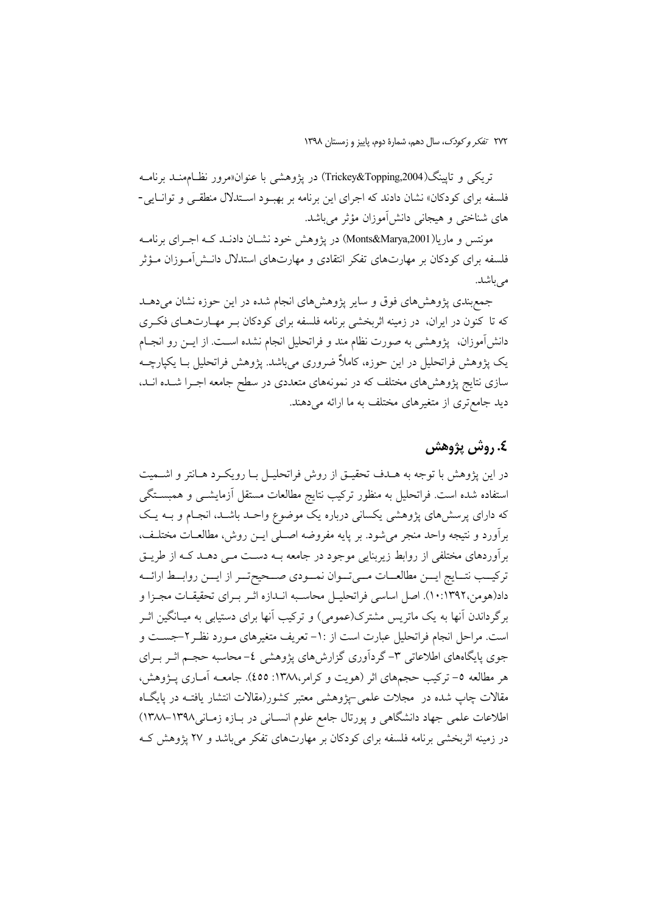تريكي و تايينگ(Trickey&Topping,2004) در يژوهشي با عنوان«مرور نظـامهنــد برنامــه فلسفه برای کودکان» نشان دادند که اجرای این برنامه بر بهبود استدلال منطقی و توانایی-های شناختی و هیجانی دانش[موزان مؤثر میباشد.

مونتس و ماريا(Monts&Marya,2001) در يژوهش خود نشـان دادنــد کــه اجــرای برنامــه فلسفه برای کودکان بر مهارتهای تفکر انتقادی و مهارتهای استدلال دانـش[مــوزان مــؤثر مر باشد.

جمع بندی پژوهش های فوق و سایر پژوهش های انجام شده در این حوزه نشان میدهـد که تا کنون در ایران، در زمینه اثربخشی برنامه فلسفه برای کودکان بـر مهـارتهـای فکـری دانش]موزان، یژوهشی به صورت نظام مند و فراتحلیل انجام نشده اسـت. از ایــن رو انجــام یک پژوهش فراتحلیل در این جوزه، کاملاً ضروری می باشد. پژوهش فراتحلیل بـا یکپارچـه سازی نتایج پژوهشهای مختلف که در نمونههای متعددی در سطح جامعه اجـرا شـده انـد، دید جامع تری از متغیرهای مختلف به ما ارائه می دهند.

# ٤. روش پژوهش

در این پژوهش با توجه به هـدف تحقیـق از روش فراتحلیـل بـا رویکـرد هـانتر و اشــمیت استفاده شده است. فراتحلیل به منظور ترکیب نتایج مطالعات مستقل آزمایشم و همبستگی که دارای پرسشهای پژوهشی یکسانی درباره یک موضوع واحـد باشـد، انجـام و بــه یـک برأورد و نتيجه واحد منجر مي شود. بر پايه مفروضه اصـلي ايــن روش، مطالعــات مختلـف، برآوردهای مختلفی از روابط زیربنایی موجود در جامعه بــه دسـت مــی دهــد کــه از طریــق تركيــب نتــايج ايــن مطالعــات مــىتــوان نمــودي صــحيحتــر از ايــن روابــط ارائــه داد(هومن،١٣٩٢:١٠). اصل اساسي فراتحليـل محاسـبه انـدازه اثـر بـراي تحقيقـات مجـزا و برگرداندن آنها به یک ماتریس مشترک(عمومی) و ترکیب آنها برای دستیابی به میـانگین اثـر است. مراحل انجام فراتحلیل عبارت است از :١- تعریف متغیرهای مـورد نظـر ٢-جســت و جوی پایگاههای اطلاعاتی ۳- گردآوری گزارشهای پژوهشی ٤- محاسبه حجـم اثــر بــرای هر مطالعه ٥- تركيب حجمهاى اثر (هويت و كرامر،١٣٨٨: ٤٥٥). جامعــه آمــارى يـــژوهش، مقالات چاپ شده در ًمجلات علمی –یژوهشی معتبر کشور(مقالات انتشار یافتـه در پایگـاه اطلاعات علمی جهاد دانشگاهی و یورتال جامع علوم انسـانی در بـازه زمـانی١٣٩٨–١٣٨٨) در زمینه اثربخشی برنامه فلسفه برای کودکان بر مهارتهای تفکر میباشد و ۲۷ پژوهش ک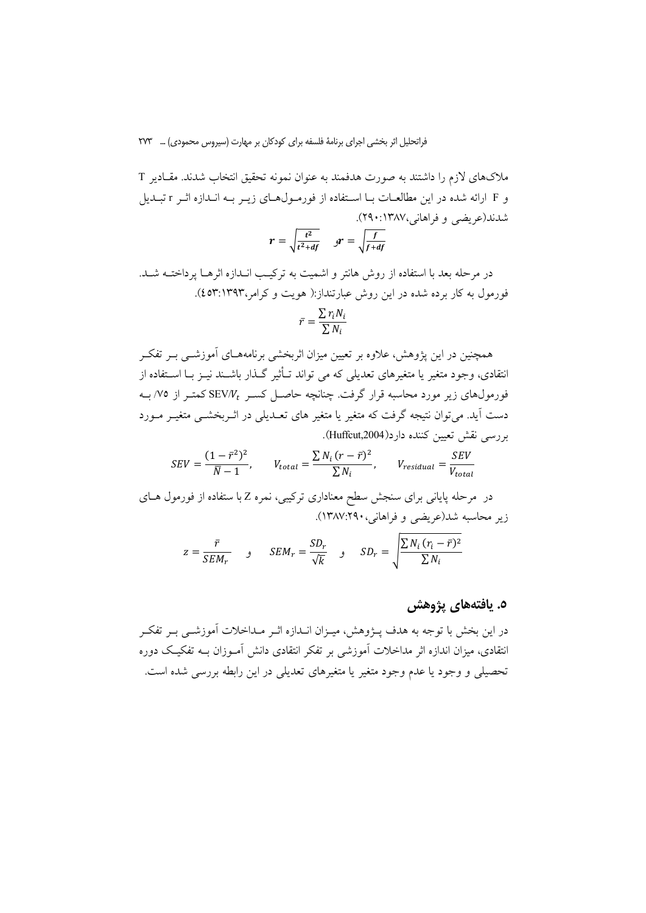ملاکهای لازم را داشتند به صورت هدفمند به عنوان نمونه تحقیق انتخاب شدند. مقـادیر T و F ارائه شده در این مطالعـات بـا اسـتفاده از فورمـولهـای زیـر بـه انـدازه اثـر r تبـدیل شدند(عريضي و فراهاني،۱۳۸۷:۱۴۹۰).

$$
r = \sqrt{\frac{t^2}{t^2 + df}} \quad \ \ \mathcal{J} = \sqrt{\frac{f}{f + d_j}}
$$

در مرحله بعد با استفاده از روش هانتر و اشمیت به ترکیب انـدازه اثرهـا پرداختــه شــد. فورمول به کار برده شده در این روش عبارتنداز:( هویت و کرامر،١٣٩٣:٤٥٣).

$$
\bar{r} = \frac{\sum r_i N_i}{\sum N_i}
$$

همچنین در این پژوهش، علاوه بر تعیین میزان اثربخشی برنامههـای آموزشــی بــر تفکــر انتقادی، وجود متغیر یا متغیرهای تعدیلی که می تواند تــأثیر گــذار باشــند نیــز بــا اســتفاده از فورمولهای زیر مورد محاسبه قرار گرفت. چنانچه حاصـل کسـر  $\mathrm{SEV}/V_t$  کمتـر از ۷۵/ بــه دست آید. می توان نتیجه گرفت که متغیر یا متغیر های تعـدیلی در اثـربخشــی متغیــر مــورد بررسي نقش تعيين كننده دارد(Huffcut,2004).

$$
SEV = \frac{(1 - \bar{r}^2)^2}{\bar{N} - 1}, \qquad V_{total} = \frac{\sum N_i (r - \bar{r})^2}{\sum N_i}, \qquad V_{residual} = \frac{SEV}{V_{total}}
$$

در مرحله پایانی برای سنجش سطح معناداری ترکیبی، نمره Z با ستفاده از فورمول هــای زير محاسبه شد(عريضي و فراهاني، ١٣٨٧:٢٩٠).

$$
z = \frac{\bar{r}}{SEM_r} \qquad , \qquad SEM_r = \frac{SD_r}{\sqrt{k}} \qquad , \qquad SD_r = \sqrt{\frac{\sum N_i (r_i - \bar{r})^2}{\sum N_i}}
$$

### ٥. يافتەهاي پژوهش

در این بخش با توجه به هدف پـژوهش، میـزان انــدازه اثـر مــداخلات آموزشــی بــر تفکــر انتقادی، میزان اندازه اثر مداخلات آموزشی بر تفکر انتقادی دانش آمـوزان بــه تفکیـک دوره تحصیلی و وجود یا عدم وجود متغیر یا متغیرهای تعدیلی در این رابطه بررسی شده است.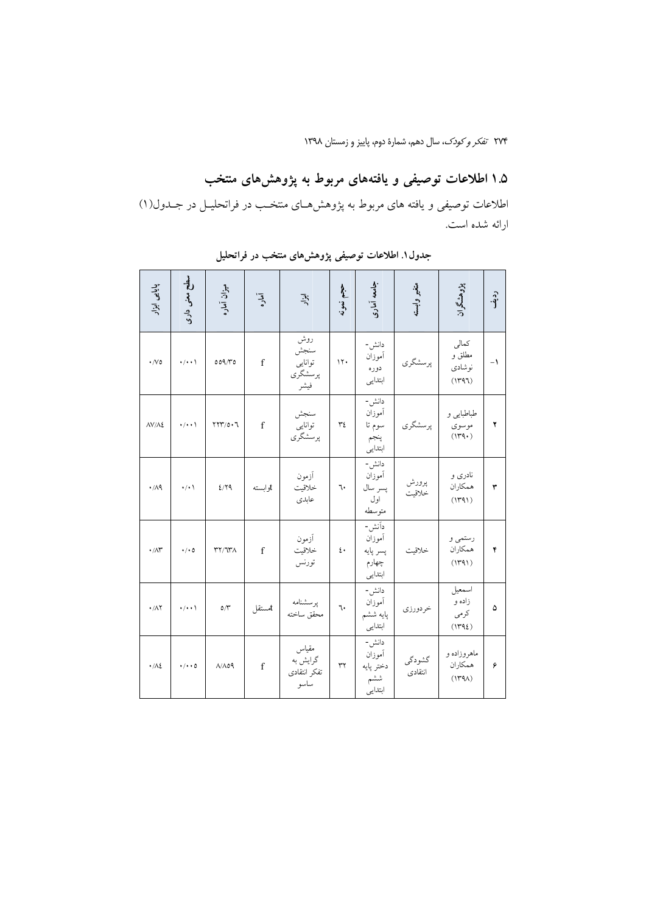# ۱.۵ اطلاعات توصیفی و یافتههای مربوط به پژوهشهای منتخب

اطلاعات توصیفی و یافته های مربوط به پژوهش هـای منتخـب در فراتحلیـل در جــدول(۱) ارائه شده است.

| يايايى<br>运                           | 貞<br>معنی داری       | ميزان أماره                                                                | آماره       | أقبرار                                    | ş.<br>نمونه               | جامعه آماری                                      | متغير وابسته      | پڙوهشگران                           | ردية.          |
|---------------------------------------|----------------------|----------------------------------------------------------------------------|-------------|-------------------------------------------|---------------------------|--------------------------------------------------|-------------------|-------------------------------------|----------------|
| $\cdot$ /Vo                           | $\cdot/\cdot\cdot$   | 0.09/T0                                                                    | $\mathbf f$ | روش<br>سنجش<br>توانايى<br>پرسشگري<br>فيشر | $\mathcal{N}$             | دانش-<br>أموزان<br>دوره<br>ابتدايي               | پرسشگري           | كمالى<br>مطلق و<br>نوشادى<br>(1497) | $-\mathcal{V}$ |
| $\Delta V/\Delta E$                   | $\cdot/\cdot\cdot$   | $YYY/O \cdot 7$                                                            | $\mathbf f$ | سنجش<br>توانايى<br>يرسشگري                | ٣٤                        | دانش-<br>أموزان<br>سوم تا<br>پنجم<br>ابتدايي     | پرسشگري           | طباطبايي و<br>موسوى<br>(149)        | ۲              |
| $\cdot/\Lambda$ ٩                     | $\cdot/\cdot$        | 2/79                                                                       | tوابسته     | أزمون<br>خلاقيت<br>عابدى                  | ٦.                        | دانش-<br>أموزان<br>پسر سال<br>اول<br>متو سطه     | پرورش<br>خلاقيت   | نادری و<br>همكاران<br>(1491)        | ٣              |
| $\cdot/\wedge\hspace{-0.6em}\uparrow$ | $\cdot/\cdot$ 0      | $\uparrow\uparrow\uparrow\uparrow\uparrow\uparrow\uparrow\uparrow\uparrow$ | $\mathbf f$ | أزمون<br>خلاقيت<br>تورنس                  | $\mathfrak{t}$            | داَنش-<br>أموزان<br>پسر پايه<br>چهارم<br>ابتدايي | خلاقيت            | رستمي و<br>همكاران<br>(1791)        | ۴              |
| $\cdot/\lambda$ Y                     | $\cdot/\cdot\cdot$   | $\circ \wedge^{\omega}$                                                    | أمستقل      | پرسشنامه<br>محقق ساخته                    | ٦.                        | دانش-<br>أموزان<br>پايه ششم<br>ابتدايى           | خردورزي           | اسمعيل<br>زاده و<br>كرمى<br>(1495)  | ۵              |
| $\cdot/\lambda$                       | $\cdot/\cdot\cdot$ 0 | $\Lambda/\Lambda$ 09                                                       | $\mathbf f$ | مقياس<br>گرایش به<br>تفكر انتقادى<br>ساسو | $\mathsf{Y}^{\mathsf{v}}$ | دانش-<br>أموزان<br>دختر يايه<br>ششم<br>ابتدايي   | گشودگي<br>انتقادى | ماهروزاده و<br>همكاران<br>(144)     | ۶              |

جدول۱. اطلاعات توصیفی پژوهشهای منتخب در فراتحلیل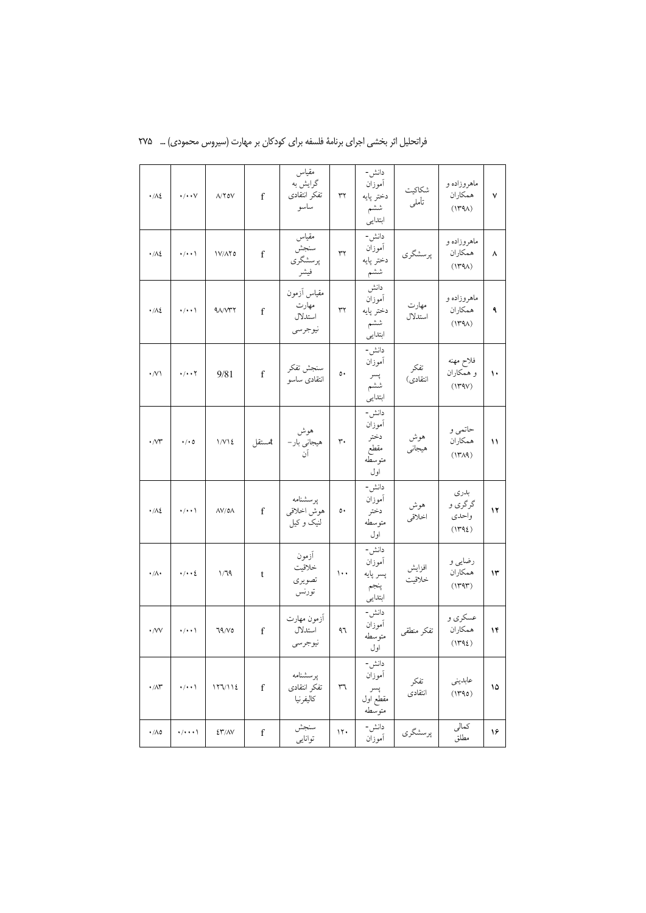| $\cdot/\lambda$     | $\cdot/\cdot\cdot\vee$         | $\Lambda/\Upsilon$ ov                | f            | مقياس<br>گرايش به<br>تفكر انتقادى<br>ساسو  | ٣٢  | دانش-<br>أموزان<br>دختر يايه<br>ششم<br>ابتدايى    | شكاكيت<br>تأملي  | ماهروزاده و<br>همكاران<br>(144)    | ٧  |
|---------------------|--------------------------------|--------------------------------------|--------------|--------------------------------------------|-----|---------------------------------------------------|------------------|------------------------------------|----|
| $\cdot/\lambda$ ٤   | $\cdot/\cdot\cdot$ \           | $1V/\Lambda Y$ ٥                     | $\mathbf{f}$ | مقياس<br>سنجش<br>پرسشگري<br>فيشر           | ٣٢  | دانش-<br>أموزان<br>دختر پايه<br>ششم               | پرسشگري          | ماهروزاده و<br>همكاران<br>(144)    | ٨  |
| $\cdot/\lambda$ ٤   | $\cdot/\cdot\cdot$ \           | 91/17                                | f            | مقياس آزمون<br>مهارت<br>استدلال<br>نيوجرسي | ٣٢  | دانش<br>أموزان<br>دختر پايه<br>ششم<br>ابتدايي     | مهارت<br>استدلال | ماهروزاده و<br>همكاران<br>(144)    | ٩  |
| $\cdot$ /V)         | $\cdot/\cdot\cdot$ $\Upsilon$  | 9/81                                 | f            | سنجش تفكر<br>انتقادى ساسو                  | ٥٠  | دانش-<br>أموزان<br>پسر<br>ششم<br>ابتدايي          | تفكر<br>انتقادى) | فلاح مهنه<br>و همکاران<br>(179V)   | ١٠ |
| $\cdot$ / $\gamma$  | $\cdot/\cdot$ 0                | 1/V12                                | tمستقل       | هوش<br>هیجانی بار-<br>آن                   | ٣٠  | دانش-<br>أموزان<br>دختر<br>مقطع<br>متو سطه<br>اول | هوش<br>هيجاني    | حاتمي و<br>همكاران<br>(14A)        | ۱۱ |
| $\cdot/\lambda$ ٤   | $\cdot/\cdot\cdot$             | $\Lambda V/\mathsf{0}\Lambda$        | f            | پرسشنامه<br>هوش اخلاقي<br>لنيک و کيل       | ٥٠  | دانش-<br>أموزان<br>دختر<br>متوسطه<br>اول          | هوش<br>اخلاقي    | بدرى<br>گرگري و<br>واحدى<br>(1492) | ۱۲ |
| $\cdot/\wedge\cdot$ | $\cdot/\cdot\cdot\zeta$        | 1/19                                 | t            | أزمون<br>خلاقيت<br>تصويري<br>تورنس         | ۱۰۰ | دانش-<br>أموزان<br>پسر پايه<br>ينجم<br>ابتدايي    | افزايش<br>خلاقيت | رضایی و<br>همكاران<br>(144)        | ۱۳ |
| $\cdot$ / $\vee$    | $\cdot/\cdot\cdot$             | 79/                                  | f            | أزمون مهارت<br>استدلال<br>نيوجرسي          | ۹٦  | دانش-<br>آموزان<br>متوسطه<br>اول                  | تفكر منطقى       | عسکری و<br>همكاران<br>(1495)       | ۱۴ |
| $\cdot$ /<br>AY     | $\cdot/\! \cdot \cdot \rangle$ |                                      | $\mathbf f$  | يرسشنامه<br>تفكر انتقادى<br>كاليفرنيا      | ٣٦  | دانش-<br>أموزان<br>پسر<br>مقطع اول<br>متوسطه      | تفكر<br>انتقادى  | عابديني<br>(1490)                  | ۱۵ |
| $\cdot/\lambda$ ٥   | $\cdot/\cdot\cdot\cdot$        | $\mathcal{E}\mathcal{Y}/\mathcal{N}$ | $\mathbf f$  | سنجش<br>توانايى                            | 11. | دانش-<br>أموزان                                   | پرسشگري          | كمالى<br>مطلق                      | ۱۶ |

فراتحلیل اثر بخشی اجرای برنامهٔ فلسفه برای کودکان بر مهارت (سیروس محمودی) … ۲۷۵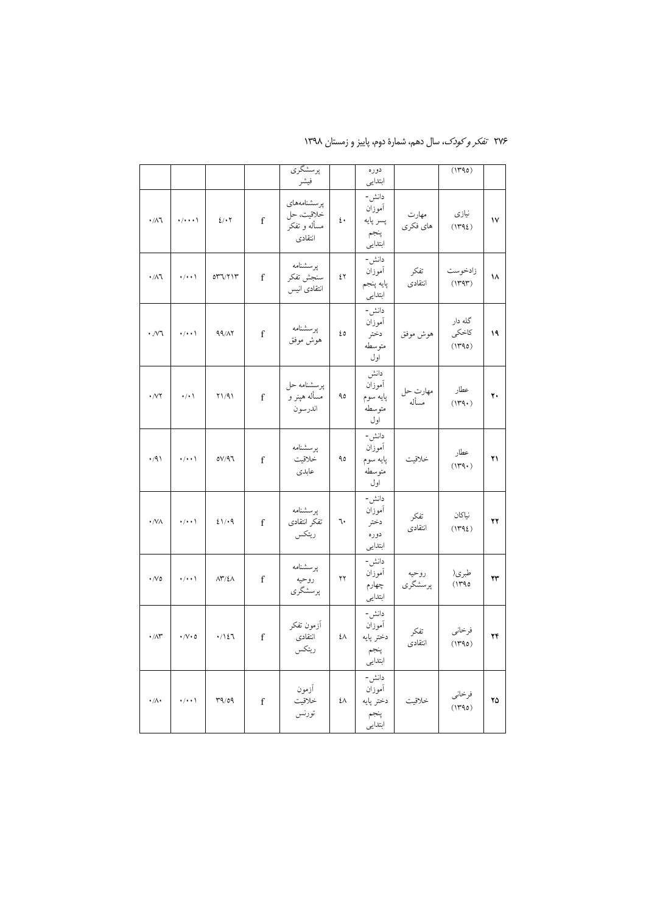|                     |                         |                                     |             | پرسشگري<br>فيشر                                      |                  | دوره<br>ابتدايي                                 |                   | (1790)                     |                     |
|---------------------|-------------------------|-------------------------------------|-------------|------------------------------------------------------|------------------|-------------------------------------------------|-------------------|----------------------------|---------------------|
| $\cdot/\lambda$ ٦   | $\cdot/\cdot\cdot\cdot$ | 2/1                                 | $\mathbf f$ | پرسشنامەھاي<br>خلاقيت، حل<br>مسأله و تفكر<br>انتقادى | $\mathfrak{t}$ . | دانش-<br>أموزان<br>پسر پايه<br>ينجم<br>ابتدايي  | مهارت<br>هاي فكرى | نیازی<br>(1495)            | $\mathsf{V}$        |
| $\cdot/\lambda$ ٦   | $\cdot/\cdot\cdot$ \    | 077/717                             | $\mathbf f$ | يرسشنامه<br>سنجش تفكر<br>انتقادى انيس                | ٤٢               | دانش-<br>أموزان<br>پايه پنجم<br>ابتدايي         | تفكر<br>انتقادى   | زادخوست<br>(144)           | ۱۸                  |
| $\cdot$ / $\vee$    | $\cdot/\cdot\cdot$      | 99/17                               | f           | پرسشنامه<br>هوش موفق                                 | ٤٥               | دانش-<br>أموزان<br>دختر<br>متوسطه<br>اول        | هوش موفق          | گله دار<br>كاخكى<br>(1490) | ۱۹                  |
| $\cdot$ /VY         | $\cdot/\cdot$           | Y1/91                               | $\mathbf f$ | يرسشنامه حل<br>مسأله هپنر و<br>اندرسون               | ٩٥               | دانش<br>أموزان<br>پايه سوم<br>متوسطه<br>اول     | مهارت حل<br>مسأله | عطار<br>(114)              | ٢٠                  |
| $\cdot$ /9)         | $\cdot/\cdot\cdot$ \    | 07/97                               | $\mathbf f$ | يرسشنامه<br>خلاقيت<br>عابدى                          | ٩٥               | دانش-<br>أموزان<br>پايه سوم<br>متوسطه<br>اول    | خلاقيت            | عطار<br>(144)              | ۲۱                  |
| $\cdot$ /VA         | $\cdot/\cdot\cdot$      | ٤١/٠٩                               | $\mathbf f$ | يرسشنامه<br>تفكر انتقادى<br>ريتكس                    | ٦.               | دانش-<br>اموزان<br>دختر<br>دوره<br>ابتدايي      | تفكر<br>انتقادى   | نياكان<br>(1492)           | ۲۲                  |
| $\cdot$ /Vo         | $\cdot/\cdot\cdot$ \    | $\Lambda \Upsilon / \Sigma \Lambda$ | $\mathbf f$ | پرسشنامه<br>روحيه<br>پرسشگري                         | ۲۲               | دانش-<br>أموزان<br>چهارم<br>ابتدايي             | روحيه<br>پرسشگري  | طبري(<br>(1790             | ۲۳                  |
| $\cdot$ /<br>AY     | $\cdot/\vee\cdot\circ$  | ۰/۱٤٦                               | $\mathbf f$ | آزمون تفكر<br>انتقادى<br>ريتكس                       | ٤٨               | دانش-<br>أموزان<br>دختر پايه<br>ينجم<br>ابتدايي | تفكر<br>انتقادى   | فرخاني<br>(1790)           | ۲۴                  |
| $\cdot/\wedge\cdot$ | $\cdot/\cdot\cdot$      | 1007                                | $\mathbf f$ | أزمون<br>خلاقيت<br>تورنس                             | ٤٨               | دانش-<br>أموزان<br>دختر پايه<br>پنجم<br>ابتدایی | خلاقيت            | فرخاني<br>$(1190)$         | $\mathbf{Y} \Delta$ |

۲۷۶ تف*کر و کودک*، سال دهم، شمارهٔ دوم، پاییز و زمستان ۱۳۹۸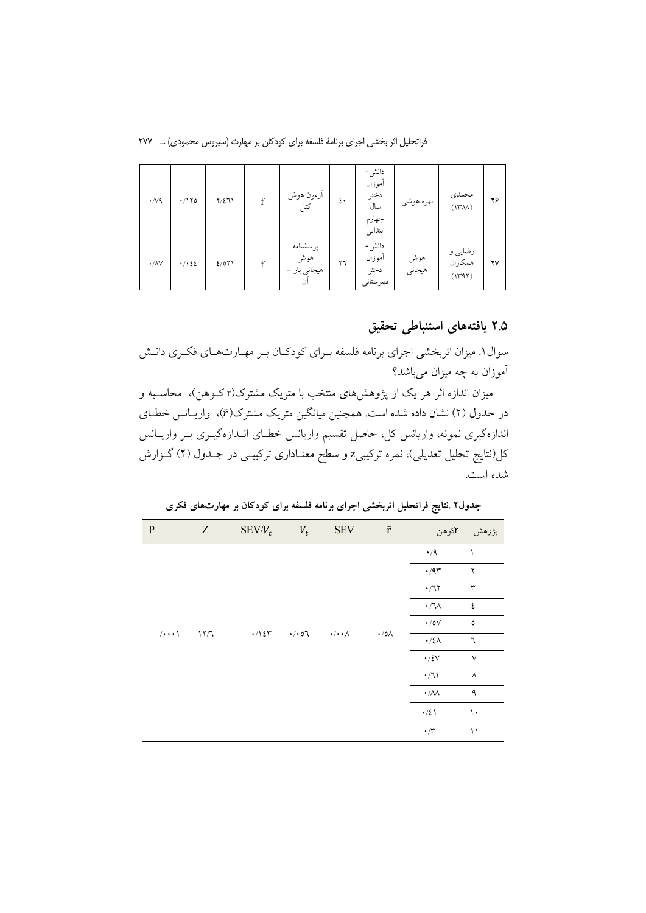فراتحلیل اثر بخشی اجرای برنامهٔ فلسفه برای کودکان بر مهارت (سیروس محمودی) … ۲۷۷

| $\cdot$ / $\vee$ 9       | $\cdot$ /170         | $Y/\Sigma 11$ | f | أزمون هوش<br>کتل                      | ٤٠ | دانش-<br>أموزان<br>دختر<br>سال<br>چهارم<br>ابتدايي | بهره هوشي     | محمدى<br>(140)               | ۲۶                     |
|--------------------------|----------------------|---------------|---|---------------------------------------|----|----------------------------------------------------|---------------|------------------------------|------------------------|
| $\cdot$ / $\land$ $\lor$ | $\cdot$ / $\cdot$ 22 | 2/071         | f | پرسشنامه<br>هوش<br>هیجانی بار –<br>آن | ٢٦ | دانش-<br>أموزان<br>دختر<br>دبيرستاني               | هوش<br>هيجاني | رضایی و<br>همكاران<br>(1191) | $\mathsf{Y}\mathsf{V}$ |

### ۲.۵ یافتههای استنباطی تحقیق

سوال ۱. میزان اثربخشی اجرای برنامه فلسفه بـرای کودکـان بـر مهـارتهـای فکـری دانـش آموزان به چه میزان م<sub>ی</sub>باشد؟

میزان اندازه اثر هر یک از پژوهشهای منتخب با متریک مشترک(rکـوهن)، محاسـبه و در جدول (۲) نشان داده شده است. همچنین میانگین متریک مشترک( $\bar{r}$ )، واریـانس خطـای اندازهگیری نمونه، واریانس کل، حاصل تقسیم واریانس خطـای انــدازهگیــری بــر واریــانس کل(نتایج تحلیل تعدیلی)، نمره ترکیبیz و سطح معنـاداری ترکیبـی در جـدول (۲) گـزارش شده است.

| ${\bf P}$                                     | Z | $SEV/V_t$  | $V_t$                                            | <b>SEV</b> | $\bar{r}$        | r کوهن                                        | پژوهش         |
|-----------------------------------------------|---|------------|--------------------------------------------------|------------|------------------|-----------------------------------------------|---------------|
|                                               |   |            |                                                  |            |                  | $\cdot/9$                                     |               |
| $\frac{1}{\sqrt{2}}$<br>$/ \cdot \cdot \cdot$ |   |            |                                                  |            |                  | $\cdot$ /97                                   | ٢             |
|                                               |   |            |                                                  |            |                  | $\cdot$ /7 $\!\!$ $\!$                        | ٣             |
|                                               |   |            |                                                  |            |                  | $\cdot$ / $\!\!1\!$                           | ٤             |
|                                               |   |            | $\cdot$ / $\cdot$ 07 $\cdot$ / $\cdot$ / $\cdot$ |            |                  | $\boldsymbol{\cdot}$ /0V                      | $\pmb{\circ}$ |
|                                               |   | $\cdot/15$ |                                                  |            | $\cdot/0\Lambda$ | $\cdot/\xi\Lambda$                            | ٦             |
|                                               |   |            |                                                  |            |                  | $\cdot/ \xi \mathrm{V}$                       | $\vee$        |
|                                               |   |            |                                                  |            |                  | $\cdot/7$                                     | $\wedge$      |
|                                               |   |            |                                                  |            |                  | $\cdot/\lambda\lambda$                        | ٩             |
|                                               |   |            |                                                  |            |                  | $\cdot/\xi$ \                                 | ١.            |
|                                               |   |            |                                                  |            |                  | $\boldsymbol{\cdot} / \boldsymbol{\curlyvee}$ | ۱۱            |

جدول۲ .نتایج فراتحلیل اثربخشی اجرای برنامه فلسفه برای کودکان بر مهارتهای فکری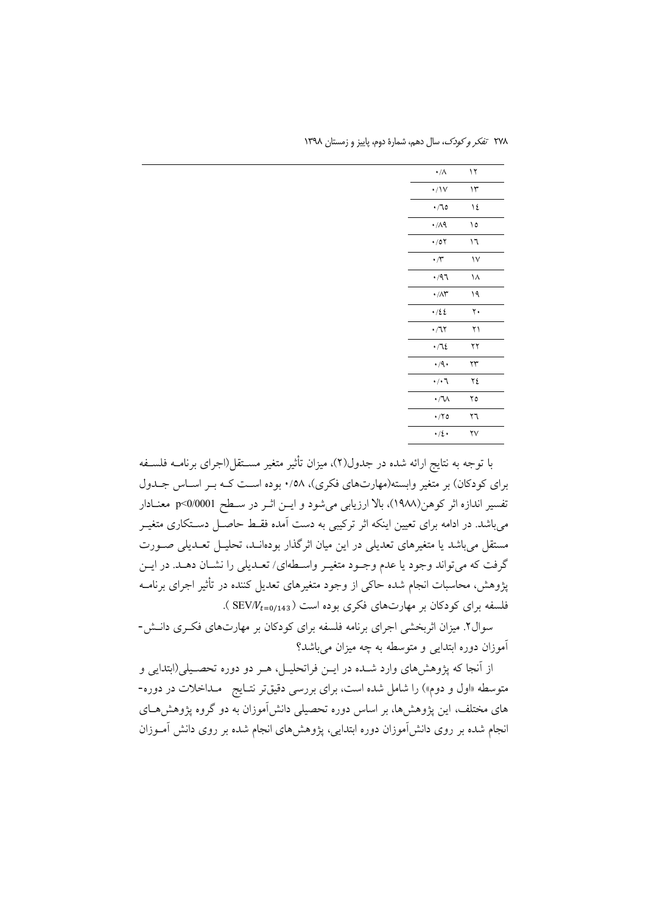| ۰/۸                     | ۱۲  |  |
|-------------------------|-----|--|
| $\cdot/\mathrm{V}$      | ۱۳  |  |
| $\cdot$ /70             | ١٤  |  |
| $\cdot$ /19             | ه ۱ |  |
| $\cdot$ /07             | ۱٦  |  |
| $\cdot \pi$             | ١٧  |  |
| ۰/۹٦                    | ۱۸  |  |
| $\cdot/\wedge\breve{r}$ | ۱۹  |  |
| .125                    | ٢٠  |  |
| $\cdot$ / $\gamma$      | ۲۱  |  |
| .715                    | ۲۲  |  |
| $\cdot$ /9.             | ۲۳  |  |
| ۰/۰٦                    | ۲٤  |  |
| ・/ ひ                    | ۲٥  |  |
| $\cdot$ /۲٥             | ۲٦  |  |
| $\cdot/2$               | ۲٧  |  |
|                         |     |  |

٢٧٨ تفكر وكودك، سال دهم، شمارة دوم، پاييز و زمستان ١٣٩٨

با توجه به نتایج ارائه شده در جدول(۲)، میزان تأثیر متغیر مسـتقل(اجرای برنامــه فلســفه برای کودکان) بر متغیر وابسته(مهارتهای فکری)، ۰/٥٨ بوده است کـه بـر اسـاس جـدول تفسير اندازه اثر كوهن(١٩٨٨)، بالا ارزيابي مي شود و ايــن اثــر در ســطح p<0/0001 معنــادار می باشد. در ادامه برای تعیین اینکه اثر ترکیبی به دست آمده فقـط حاصـل دســتکاری متغیــر مستقل می باشد یا متغیرهای تعدیلی در این میان اثرگذار بودهانـد، تحلیـل تعـدیلی صـورت گرفت که میتواند وجود یا عدم وجـود متغیـر واسـطهای/ تعـدیلی را نشـان دهـد. در ایــن پژوهش، محاسبات انجام شده حاکی از وجود متغیرهای تعدیل کننده در تأثیر اجرای برنامــه فلسفه برای کودکان بر مهارتهای فکری بوده است ( SEV/V<sub>t=0/143</sub> ).

سوال۲. میزان اثربخشی اجرای برنامه فلسفه برای کودکان بر مهارتهای فکـری دانـش-آموزان دوره ابتدایی و متوسطه به چه میزان می باشد؟

از آنجا که پژوهشهای وارد شـده در ایــن فراتحلیــل، هــر دو دوره تحصــیلی(ابتدایی و متوسطه «اول و دوم») را شامل شده است، برای بررسی دقیقتر نتـایج مـداخلات در دوره-های مختلف، این پژوهشها، بر اساس دوره تحصیلی دانشآموزان به دو گروه پژوهشهـای انجام شده بر روی دانشآموزان دوره ابتدایی، پژوهشهای انجام شده بر روی دانش آمـوزان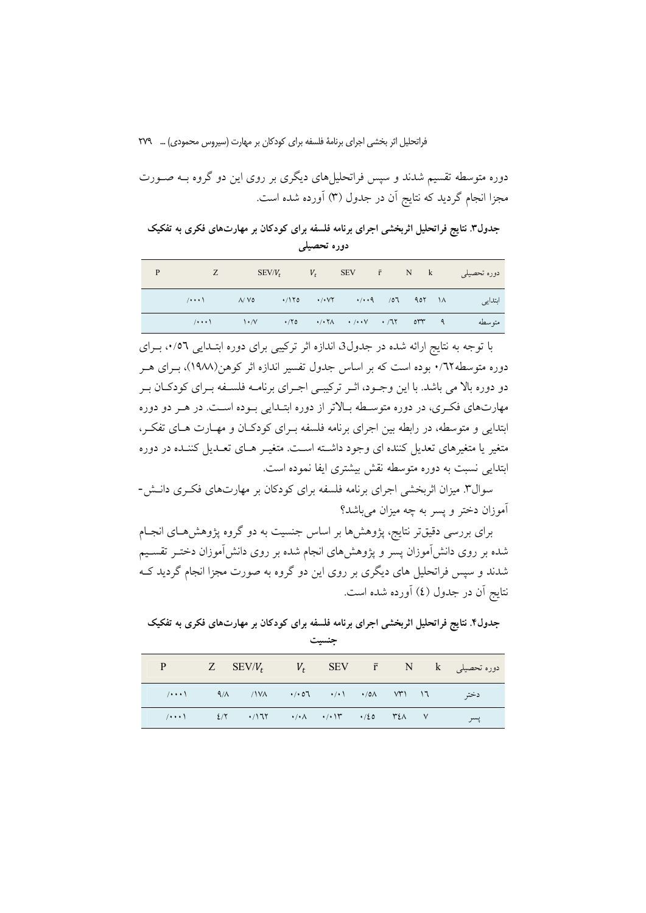دوره متوسطه تقسیم شدند و سپس فراتحلیلهای دیگری بر روی این دو گروه بــه صــورت مجزا انجام گردید که نتایج آن در جدول (۳) آورده شده است.

جدول۳. نتایج فراتحلیل اثربخشی اجرای برنامه فلسفه برای کودکان بر مهارتهای فکری به تفکیک دورہ تحصیلے

| P | z —                                                                                                                                                                                                                                                                                                                                        |                                                                                                                                                                                                                                                                                                                                                                                                                                                                                                                           | $SEV/V_t$ $V_t$ |  |  | SEV $\bar{r}$ N $k$ دوره تحصیلی |
|---|--------------------------------------------------------------------------------------------------------------------------------------------------------------------------------------------------------------------------------------------------------------------------------------------------------------------------------------------|---------------------------------------------------------------------------------------------------------------------------------------------------------------------------------------------------------------------------------------------------------------------------------------------------------------------------------------------------------------------------------------------------------------------------------------------------------------------------------------------------------------------------|-----------------|--|--|---------------------------------|
|   | $\wedge$ $\cdot$ $\cdot$ $\wedge$ $\vee$ $\circ$ $\cdot$ $\wedge$ $\wedge$ $\circ$ $\cdot$ $\wedge$ $\vee$ $\cdot$ $\wedge$ $\wedge$ $\wedge$ $\wedge$ $\wedge$ $\wedge$ $\wedge$ $\wedge$ $\wedge$ $\wedge$ $\wedge$ $\wedge$ $\wedge$ $\wedge$ $\wedge$ $\wedge$ $\wedge$ $\wedge$ $\wedge$ $\wedge$ $\wedge$ $\wedge$ $\wedge$ $\wedge$ |                                                                                                                                                                                                                                                                                                                                                                                                                                                                                                                           |                 |  |  | ابتدايي                         |
|   |                                                                                                                                                                                                                                                                                                                                            | $\langle\cdots\rangle$ $\langle\cdots\rangle$ $\langle\cdots\rangle$ $\langle\cdots\rangle$ $\langle\cdots\rangle$ $\langle\cdots\rangle$ $\langle\cdots\rangle$ $\langle\cdots\rangle$ $\langle\cdots\rangle$ $\langle\cdots\rangle$ $\langle\cdots\rangle$ $\langle\cdots\rangle$ $\langle\cdots\rangle$ $\langle\cdots\rangle$ $\langle\cdots\rangle$ $\langle\cdots\rangle$ $\langle\cdots\rangle$ $\langle\cdots\rangle$ $\langle\cdots\rangle$ $\langle\cdots\rangle$ $\langle\cdots\rangle$ $\langle\cdots\rangle$ |                 |  |  | مته سطه                         |

با توجه به نتایج ارائه شده در جدول3 اندازه اثر ترکیبی برای دوره ابتـدایی ۰٬۵٦، بـرای دوره متوسطه۰/۲۲ بوده است که بر اساس جدول تفسیر اندازه اثر کوهن(۱۹۸۸)، بـرای هــر دو دوره بالا می باشد. با این وجـود، اثـر ترکیبـی اجـرای برنامـه فلسـفه بـرای کودکـان بـر مهارتهای فکری، در دوره متوسطه بالاتر از دوره ابتـدایی بـوده اسـت. در هـر دو دوره ابتدایی و متوسطه، در رابطه بین اجرای برنامه فلسفه بهرای کودکان و مهارت های تفک ، متغیر یا متغیرهای تعدیل کننده ای وجود داشته است. متغیـر هـای تعـدیل کننـده در دوره ابتدایی نسبت به دوره متوسطه نقش بیشتری ایفا نموده است.

سوال۳. میزان اثربخشی اجرای برنامه فلسفه برای کودکان بر مهارتهای فکری دانـش-آموزان دختر و پسر به چه میزان می باشد؟

برای بررسی دقیقتر نتایج، پژوهشها بر اساس جنسیت به دو گروه پژوهشهـای انجـام شده بر روی دانش[موزان پسر و پژوهشهای انجام شده بر روی دانش[موزان دختـر تقســیم شدند و سپس فراتحلیل های دیگری بر روی این دو گروه به صورت مجزا انجام گردید ک نتايج اّن در جدول (٤) اّورده شده است.

جدول۴. نتایج فراتحلیل اثربخشی اجرای برنامه فلسفه برای کودکان بر مهارتهای فکری به تفکیک جنسبت

|  |                                                                                                                                                                                    |  |  | $P$ Z SEV/ $V_t$ $V_t$ SEV $\bar{r}$ N $k$ $\bar{r}$ $\sim$ $\frac{1}{2}$ $\sim$ |
|--|------------------------------------------------------------------------------------------------------------------------------------------------------------------------------------|--|--|----------------------------------------------------------------------------------|
|  | دختہ ۱۳ (۱۳۷ - ۱۹۸۸ - ۱۹۸۸ - ۱۷۸۸ - ۱۰۰۹/ ۱۰۰۱/ - ۱۰۰۹/                                                                                                                            |  |  |                                                                                  |
|  | $\left(1+\cdot\cdot\right)$ $\left(2/\tau\cdot\cdot\cdot/17\tau\cdot\cdot\cdot/17\Lambda\cdot\cdot\cdot/17\tau\cdot\cdot\cdot/20\right)$ $\left(1/\tau\cdot\cdot\cdot\cdot\right)$ |  |  | پسر                                                                              |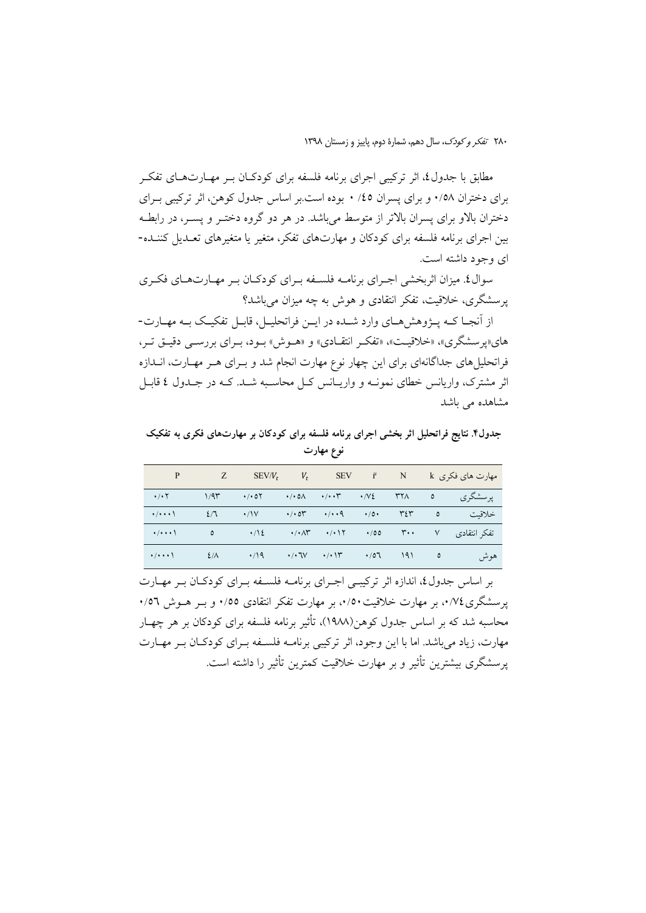مطابق با جدول٤، اثر تركيبي اجراي برنامه فلسفه براي كودكـان بــر مهــارتهــاي تفكــر برای دختران ۰/۵۸ و برای پسران ۱/۵ ۰ بوده است.بر اساس جدول کوهن، اثر ترکیبی بـرای دختران بالاو برای پسران بالاتر از متوسط میباشد. در هر دو گروه دختـر و پسـر، در رابطـه بین اجرای برنامه فلسفه برای کودکان و مهارتهای تفکر، متغیر یا متغیرهای تعـدیل کننــده-ای وجود داشته است.

سوال٤. میزان اثربخشی اجـرای برنامــه فلســفه بـرای کودکــان بـر مهــارتهــای فکـری پرسشگری، خلاقیت، تفکر انتقادی و هوش به چه میزان می باشد؟

از آنجـا كـه پــژوهشهـاي وارد شــده در ايــن فراتحليـل، قابـل تفكيـك بــه مهــارت-های«پرسشگری»، «خلاقیت»، «تفکیر انتقیادی» و «هیوش» بیود، بیرای بررسی دقییق تیر، فراتحلیل های جداگانهای برای این چهار نوع مهارت انجام شد و بـرای هـر مهـارت، انــدازه اثر مشترک، واریانس خطای نمونـه و واریــانس کـل محاسـبه شــد. کــه در جــدول ٤ قابــل مشاهده می باشد

جدول۴. نتایج فراتحلیل اثر بخشی اجرای برنامه فلسفه برای کودکان بر مهارتهای فکری به تفکیک نوع مهارت

| P                                                             | $Z$ and $Z$                                                                                                                                                                                                                                                                                                                                                 |                                                                                     | $SEV/V_t$ $V_t$ |  |                          |                                                        |
|---------------------------------------------------------------|-------------------------------------------------------------------------------------------------------------------------------------------------------------------------------------------------------------------------------------------------------------------------------------------------------------------------------------------------------------|-------------------------------------------------------------------------------------|-----------------|--|--------------------------|--------------------------------------------------------|
| $\cdot$ / $\cdot$ $\cdot$                                     | 1/9                                                                                                                                                                                                                                                                                                                                                         |                                                                                     |                 |  |                          | پرسشگري                                                |
|                                                               | $\mathcal{L}$ $\mathcal{L}$ $\mathcal{L}$ $\mathcal{L}$ $\mathcal{L}$ $\mathcal{L}$ $\mathcal{L}$ $\mathcal{L}$ $\mathcal{L}$ $\mathcal{L}$ $\mathcal{L}$ $\mathcal{L}$ $\mathcal{L}$ $\mathcal{L}$ $\mathcal{L}$ $\mathcal{L}$ $\mathcal{L}$ $\mathcal{L}$ $\mathcal{L}$ $\mathcal{L}$ $\mathcal{L}$ $\mathcal{L}$ $\mathcal{L}$ $\mathcal{L}$ $\mathcal{$ |                                                                                     |                 |  |                          | خلاقبت                                                 |
| $\rightarrow$ / $\rightarrow$ $\rightarrow$ \                 |                                                                                                                                                                                                                                                                                                                                                             |                                                                                     |                 |  |                          | تفکر انتقادی ۷ ۳۰۰ - ۰/۰۸۳ - ۰/۰۸۳ - ۰/۰۸۳ - ۰/۰۸۳ - ۵ |
| $\cdot$ / $\cdot$ $\cdot$ $\cdot$ $\cdot$ $\frac{2}{\Lambda}$ |                                                                                                                                                                                                                                                                                                                                                             | $\cdot$ /19 $\cdot$ / $\cdot$ 7 $\cdot$ $\cdot$ / $\cdot$ 1 $\cdot$ $\cdot$ /07 191 |                 |  | $\overline{\phantom{a}}$ | هو ش                                                   |

بر اساس جدول٤، اندازه اثر تركيبي اجـراي برنامـه فلسـفه بـراي كودكـان بـر مهـارت یرسشگری۲/۷۶، بر مهارت خلاقیت ۰/۵۰، بر مهارت تفکر انتقادی ۰/۵۵ و به هـوش ۰/۵٦ محاسبه شد که بر اساس جدول کوهن(۱۹۸۸)، تأثیر برنامه فلسفه برای کودکان بر هر چهـار مهارت، زیاد می باشد. اما با این وجود، اثر ترکیبی برنامــه فلســفه بــرای کودکــان بــر مهــارت يرسشگري بيشترين تأثير و بر مهارت خلاقيت كمترين تأثير را داشته است.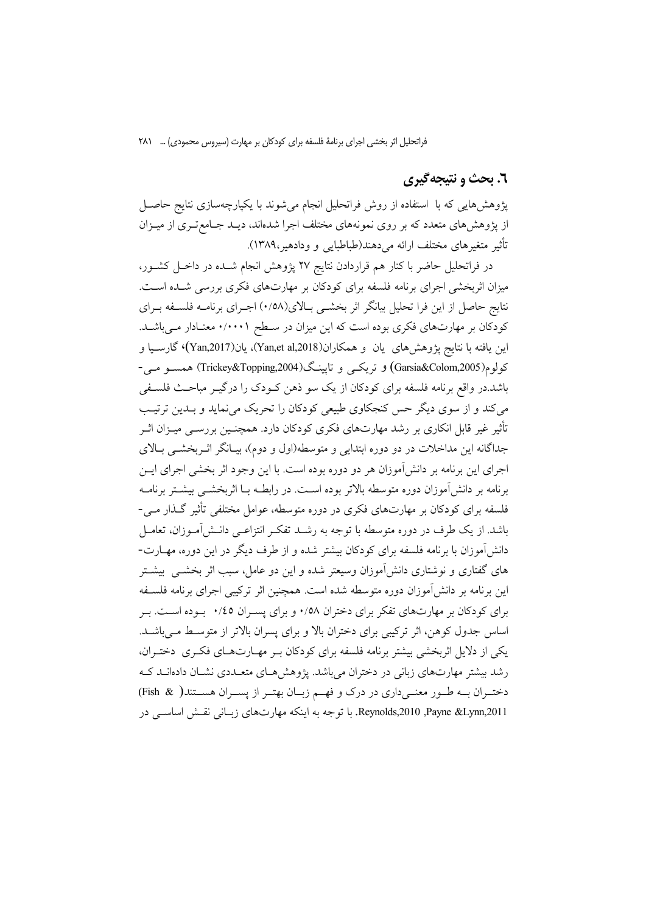### ٦. بحث و نتيجه گيري

پژوهش،هایی که با استفاده از روش فراتحلیل انجام میشوند با یکپارچهسازی نتایج حاصـل از پژوهشهای متعدد که بر روی نمونههای مختلف اجرا شدهاند، دیـد جـامع تـری از میــزان تأثير متغيرهاي مختلف ارائه مي دهند(طباطبايي و ودادهير،١٣٨٩).

در فراتحلیل حاضر با کنار هم قراردادن نتایج ۲۷ پژوهش انجام شـده در داخـل کشـور، میزان اثربخشی اجرای برنامه فلسفه برای کودکان بر مهارتهای فکری بررسی شـده اسـت. نتايج حاصل از اين فرا تحليل بيانگر اثر بخشـي بـالاي(١/٥٨) اجـراي برنامــه فلســفه بــراي کودکان بر مهارتهای فکری بوده است که این میزان در سطح ۰/۰۰۰۱ معنادار میباشد. اين يافته با نتايج پژوهش هاي يان و همكاران(Yan,et al,2018)، يان(Yan,2017)، گارسـيا و کولوم(Garsia&Colom,2005) و تریکس و تایینگ(Trickey&Topping,2004) همســو مــی-باشد.در واقع برنامه فلسفه برای کودکان از یک سو ذهن کـودک را درگیـر مباحـث فلسـفی می کند و از سوی دیگر حس کنجکاوی طبیعی کودکان را تحریک می نماید و بـدین ترتیـب تأثیر غیر قابل انکاری بر رشد مهارتهای فکری کودکان دارد. همچنـین بررســی میــزان اثــر جداگانه این مداخلات در دو دوره ابتدایی و متوسطه(اول و دوم)، بیـانگر اثـربخشــی بـالای اجرای این برنامه بر دانش آموزان هر دو دوره بوده است. با این وجود اثر بخشی اجرای ایــن برنامه بر دانش آموزان دوره متوسطه بالاتر بوده اسـت. در رابطــه بــا اثربخشــي بيشــتر برنامــه فلسفه برای کودکان بر مهارتهای فکری در دوره متوسطه، عوامل مختلفی تأثیر گـذار مـی-باشد. از یک طرف در دوره متوسطه با توجه به رشــد تفکـر انتزاعــی دانــش/مــوزان، تعامــل دانشآموزان با برنامه فلسفه برای کودکان بیشتر شده و از طرف دیگر در این دوره، مهــارت-های گفتاری و نوشتاری دانشآموزان وسیعتر شده و این دو عامل، سبب اثر بخشــی بیشــتر این برنامه بر دانش[موزان دوره متوسطه شده است. همچنین اثر ترکیبی اجرای برنامه فلسـفه برای کودکان بر مهارتهای تفکر برای دختران ۰/۵۸ و برای پسـران ۰/٤٥ بـوده اسـت. بـر اساس جدول کوهن، اثر ترکیبی برای دختران بالا و برای پسران بالاتر از متوسط می باشد. یکی از دلایل اثربخشی بیشتر برنامه فلسفه برای کودکان بـر مهـارتهـای فکـری دختـران، رشد بیشتر مهارتهای زبانی در دختران میباشد. یژوهش هـای متعـددی نشـان دادهانــد کــه دختـران بـه طـور معنـىداري در درک و فهـم زبـان بهتـر از پسـران هسـتند( Fish &) Reynolds,2010 ,Payne &Lynn,2011. با توجه به اینکه مهارتهای زبـانی نقــش اساســی در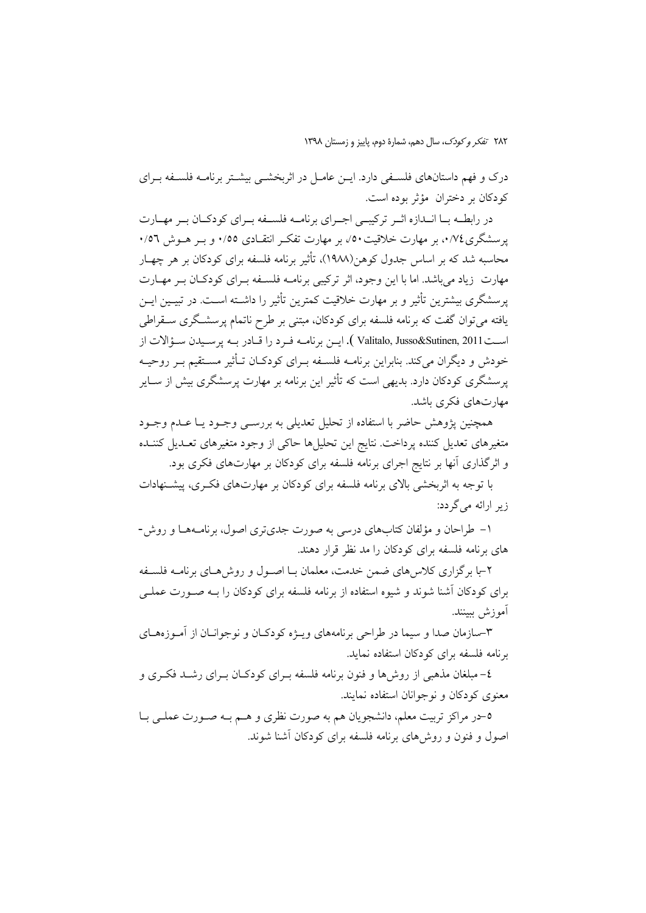درک و فهم داستانهای فلسـفی دارد. ایــن عامــل در اثربخشــی بیشــتر برنامــه فلســفه بــرای كودكان بر دختران مؤثر بوده است.

در رابطــه بــا انــدازه اثــر تركيبــى اجــراى برنامــه فلســفه بــراى كودكــان بــر مهــارت یرسشگری۷۶، بر مهارت خلاقت•۵/ بر مهارت تفکیر انتقیادی ۰/۵۵ و ب هیوش ۰/۵۲ محاسبه شد که بر اساس جدول کوهن(۱۹۸۸)، تأثیر برنامه فلسفه برای کودکان بر هر چهـار مهارت زیاد می باشد. اما با این وجود، اثر ترکیبی برنامـه فلسـفه بـرای کودکـان بـر مهـارت یرسشگری بیشترین تأثیر و بر مهارت خلاقیت کمترین تأثیر را داشــته اســت. در تبیــین ایــن یافته میتوان گفت که برنامه فلسفه برای کودکان، مبتنی بر طرح ناتمام پرسشگری سـقراطی است2011 (Valitalo, Jusso&Sutinen, 2011 ). ايـن برنامـه فـرد را قـادر بـه پرسـيدن سـؤالات از خودش و دیگران میکند. بنابراین برنامــه فلســفه بــرای کودکــان تــأثیر مســتقیم بــر روحیــه یرسشگری کودکان دارد. بدیهی است که تأثیر این برنامه بر مهارت پرسشگری بیش از ســایر مهارتهای فکری باشد.

همچنین پژوهش حاضر با استفاده از تحلیل تعدیلی به بررســی وجــود یــا عــدم وجــود متغیرهای تعدیل کننده پرداخت. نتایج این تحلیلها حاکی از وجود متغیرهای تعـدیل کننــده و اثرگذاری آنها بر نتایج اجرای برنامه فلسفه برای کودکان بر مهارتهای فکری بود.

با توجه به اثربخشی بالای برنامه فلسفه برای کودکان بر مهارتهای فکـری، پیشـنهادات زیر ارائه می گردد:

۱– طراحان و مؤلفان کتابهای درسی به صورت جدیتری اصول، برنامـههـا و روش-های برنامه فلسفه برای کودکان را مد نظر قرار دهند.

۲–با برگزاری کلاس۵های ضمن خدمت، معلمان بـا اصـول و روشهـای برنامـه فلسـفه برای کودکان آشنا شوند و شیوه استفاده از برنامه فلسفه برای کودکان را بــه صــورت عملــی أموزش ببينند.

۳-سازمان صدا و سیما در طراحی برنامههای ویـژه کودکـان و نوجوانـان از آمـوزههـای برنامه فلسفه برای کودکان استفاده نماید.

٤- مبلغان مذهبی از روشها و فنون برنامه فلسفه بـرای کودکـان بـرای رشـد فکـری و معنوی کودکان و نوجوانان استفاده نمایند.

٥-در مراكز تربيت معلم، دانشجويان هم به صورت نظري و هـم بـه صـورت عملـي بـا اصول و فنون و روش های برنامه فلسفه برای کودکان آشنا شوند.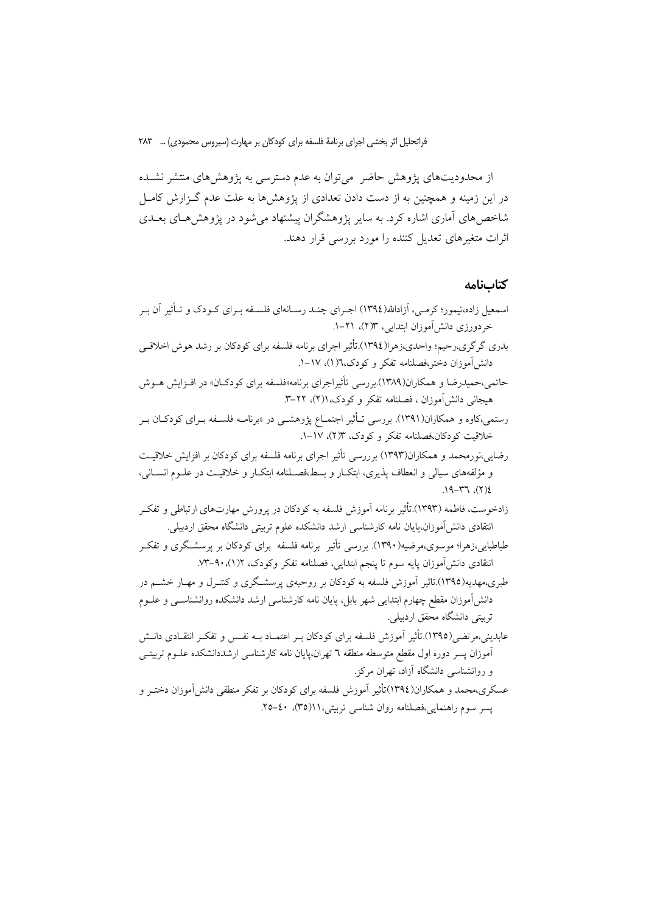از محدودیتهای پژوهش حاضر ً میتوان به عدم دسترسی به پژوهشهای منتشر نشـده در این زمینه و همچنین به از دست دادن تعدادی از پژوهشها به علت عدم گـزارش كامـل شاخصهای آماری اشاره کرد. به سایر پژوهشگران پیشنهاد میشود در پژوهشهـای بعــدی اثرات متغیرهای تعدیل کننده را مورد بررسی قرار دهند.

### كتابنامه

| اسمعیل زاده،تیمور؛ کرمـی، آزادالله(١٣٩٤) اجــرای چنــد رســانهای فلســفه بــرای کــودک و تــأثیر آن بــر |  |
|----------------------------------------------------------------------------------------------------------|--|
| خردورزی دانشآموزان ابتدایی، ۱۳(۲)، ۲۱–۱.                                                                 |  |
| بدری گرگری،رحیم؛ واحدی،زهرا(١٣٩٤).تأثیر اجرای برنامه فلسفه برای کودکان بر رشد هوش اخلاقـی                |  |
| دانش[موزان دختر،فصلنامه تفکر و کودک،٦(۱)، ١٧–١.                                                          |  |
| حاتمی،حمیدرضا و همکاران(۱۳۸۹).بررسی تأثیراجرای برنامه«فلسفه برای کودکـان» در افــزایش هــوش              |  |
| هیجانی دانش[موزان ، فصلنامه تفکر و کودک، ۲۱/)، ۲۲–۳.                                                     |  |
| رستمی،کاوه و همکاران(۱۳۹۱). بررسی تـأثیر اجتمـاع پژوهشــی در «برنامــه فلســفه بــرای کودکــان بــر      |  |
| خلاقیت کودکان،فصلنامه تفکر و کودک، ۱۳(۲)، ۱۷–۱.                                                          |  |
| رضایی،نورمحمد و همکاران(۱۳۹۳) برررسی تأثیر اجرای برنامه فلسفه برای کودکان بر افزایش خلاقیـت              |  |
| و مؤلفههای سیالی و انعطاف پذیری، ابتکـار و بسط،فصــلنامه ابتکــار و خلاقیــت در علــوم انســانی،         |  |
| $3(7)$ , $T7 - P1$ .                                                                                     |  |
| زادخوست، فاطمه (۱۳۹۳).تأثیر برنامه آموزش فلسفه به کودکان در پرورش مهارتهای ارتباطی و تفکـر               |  |
| انتقادی دانش[موزان،پایان نامه کارشناسی ارشد دانشکده علوم تربیتی دانشگاه محقق اردبیلی.                    |  |
| طباطبایی،زهرا؛ موسوی،مرضیه(۱۳۹۰). بررسی تأثیر  برنامه فلسفه  برای کودکان بر پرسشـگری و تفکـر             |  |
| انتقادی دانش[موزان پایه سوم تا پنجم ابتدایی، فصلنامه تفکر وکودک، ۱/(۹۰۔۹۳–۰۷۳.                           |  |
| طبری،مهدیه(۱۳۹۵).تاثیر آموزش فلسفه به کودکان بر روحیهی پرسشگری و کنتـرل و مهــار خشــم در                |  |
| دانش[موزان مقطع چهارم ابتدایی شهر بابل، پایان نامه کارشناسی ارشد دانشکده روانشناســی و علــوم            |  |
| تربیتی دانشگاه محقق اردبیلی.                                                                             |  |
| عابدینی،مرتضی(١٣٩٥).تأثیر آموزش فلسفه برای کودکان بـر اعتمــاد بــه نفــس و تفکــر انتقــادی دانــش      |  |
| آموزان پسر دوره اول مقطع متوسطه منطقه ٦ تهران،پایان نامه کارشناسی ارشددانشکده علــوم تربیتــی            |  |
| و روانشناسی دانشگاه آزاد، تهران مرکز.                                                                    |  |
| عسکری،محمد و همکاران(١٣٩٤)تأثیر آموزش فلسفه برای کودکان بر تفکر منطقی دانش[موزان دختـر و                 |  |
| پسر سوم راهنمایی،فصلنامه روان شناسی تربیتی،۱۱(۳۵)، ٤٠–۲۵.                                                |  |
|                                                                                                          |  |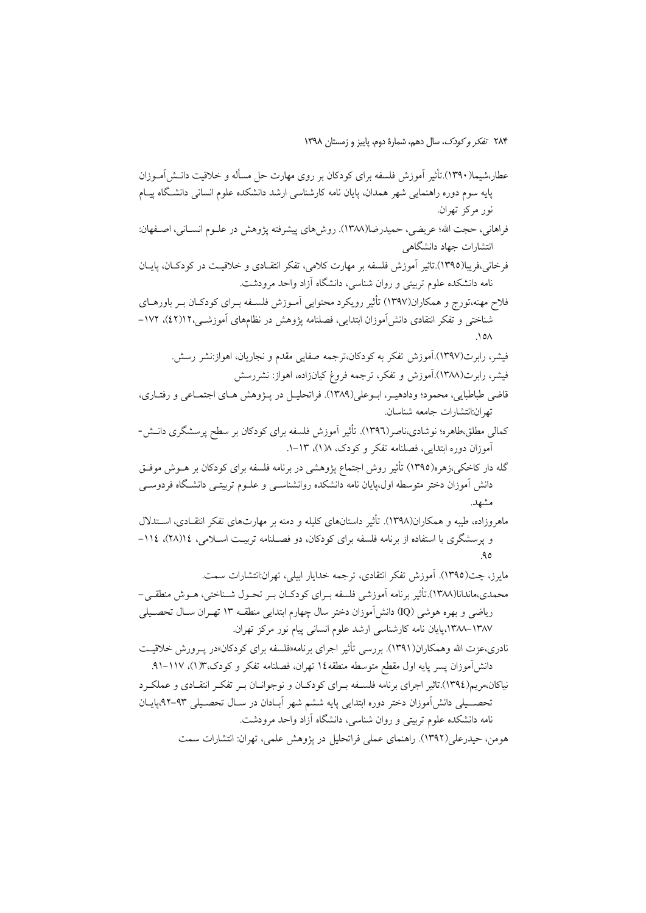۲۸۴ تف*کر و کودک*، سال دهم، شمارهٔ دوم، پاییز و زمستان ۱۳۹۸

عطار،شیما(۱۳۹۰).تأثیر آموزش فلسفه برای کودکان بر روی مهارت حل مسأله و خلاقیت دانـش آمـوزان پایه سوم دوره راهنمایی شهر همدان، پایان نامه کارشناسی ارشد دانشکده علوم انسانی دانشگاه پیـام نور مرکز تھران. فراهانی، حجت الله؛ عریضی، حمیدرضا(۱۳۸۸). روش۵ای پیشرفته پژوهش در علــوم انســانی، اصــفهان: انتشارات جهاد دانشگاهی فرخانی،فریبا(١٣٩٥).تاثیر آموزش فلسفه بر مهارت کلامی، تفکر انتقـادی و خلاقیـت در کودکـان، پایـان نامه دانشکده علوم تربیتی و روان شناسی، دانشگاه آزاد واحد مرودشت. فلاح مهنه،تورج و همکاران(۱۳۹۷) تأثیر رویکرد محتوایی آمـوزش فلسـفه بـرای کودکـان بـر باورهــای شناختی و تفکر انتقادی دانش آموزان ابتدایی، فصلنامه پژوهش در نظامهای آموزشـی،۱۲(٤۲)، ۱۷۲-فیشر، رابرت(۱۳۹۷).آموزش تفکر به کودکان،ترجمه صفایی مقدم و نجاریان، اهواز:نشر رسش. فیشر، رابرت(۱۳۸۸).آموزش و تفکر، ترجمه فروغ کیانزاده، اهواز: نشررسش قاضي طباطبايي، محمود؛ ودادهيـر، ابـوعلى(١٣٨٩). فراتحليـل در پـژوهش هـاي اجتمـاعي و رفتـاري، تها ن:انتشارات جامعه شناسان. کمالی مطلق،طاهره؛ نوشادی،ناصر(۱۳۹٦). تأثیر آموزش فلسفه برای کودکان بر سطح پرسشگری دانــش-آموزان دوره ابتدایی، فصلنامه تفکر و کودک، ۱۸(۱)، ۱۳-۱. گله دار کاخکی،زهره(۱۳۹۵) تأثیر روش اجتماع پژوهشی در برنامه فلسفه برای کودکان بر هــوش موفــق دانش آموزان دختر متوسطه اول،پایان نامه دانشکده روانشناسـی و علــوم تربیتــی دانشــگاه فردوســی مشهد. ماهروزاده، طیبه و همکاران(۱۳۹۸). تأثیر داستانهای کلیله و دمنه بر مهارتهای تفکر انتقـادی، اسـتدلال و پرسشگری با استفاده از برنامه فلسفه برای کودکان، دو فصلنامه تربیت اسلامی، ١١٤(٢٨)، ١١٤- $9<sub>0</sub>$ مايرز، چت(١٣٩٥). آموزش تفكر انتقادى، ترجمه خدايار ابيلي، تهران:انتشارات سمت. محمدي،ماندانا(١٣٨٨).تأثير برنامه آموزشي فلسفه بـراي كودكــان بــر تحــول شــناختي، هــوش منطقــي – رياضي و بهره هوشي (IQ) دانش[موزان دختر سال چهارم ابتدايي منطقــه ١٣ تهـران ســال تحصــيلي ۱۳۸۷–۱۳۸۸،پایان نامه کارشناسی ارشد علوم انسانی پیام نور مرکز تهران. نادري،عزت الله وهمكاران(١٣٩١). بررسي تأثير اجراي برنامه«فلسفه براي كودكان»در يبرورش خلاقيت دانش آموزان پسر پایه اول مقطع متوسطه منطقه١٤ تهران، فصلنامه تفکر و کودک،١٣(١)، ١١٧-٩١. نیاکان،مریم(١٣٩٤).تاثیر اجرای برنامه فلسـفه بـرای کودکـان و نوجوانــان بـر تفکـر انتقــادی و عملکـرد تحصـــیلی دانش[موزان دختر دوره ابتدایی پایه ششم شهر آبــادان در ســال تحصــیلی ۹۳–۹۲،پایــان نامه دانشکده علوم تربیتی و روان شناسی، دانشگاه آزاد واحد مرودشت.

هومن، حيدرعلي(١٣٩٢). راهنماي عملي فراتحليل در يژوهش علمي، تهران: انتشارات سمت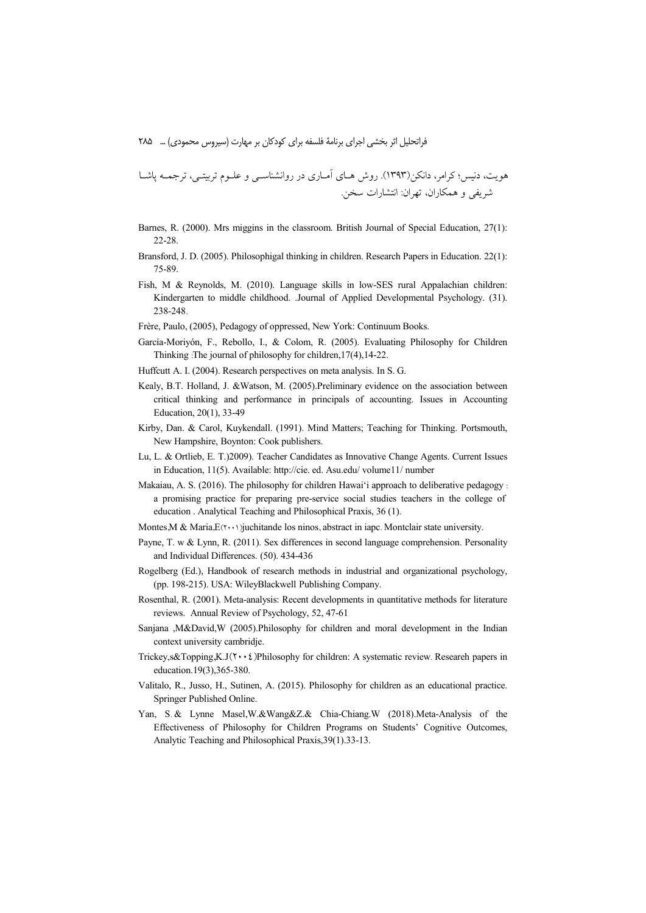هویت، دنیس؛ کرامر، دانکن(۱۳۹۳). روش هـای آمـاری در روانشناسـی و علـوم تربیتـی، ترجمـه یاشـا شريفي و همكاران، تهران: انتشارات سخن.

- Barnes, R. (2000). Mrs miggins in the classroom. British Journal of Special Education, 27(1):  $22-28$
- Bransford, J. D. (2005). Philosophigal thinking in children. Research Papers in Education. 22(1): 75-89.
- Fish, M & Reynolds, M. (2010). Language skills in low-SES rural Appalachian children: Kindergarten to middle childhood. Journal of Applied Developmental Psychology. (31). 238-248.
- Frère, Paulo, (2005), Pedagogy of oppressed, New York: Continuum Books.
- García-Moriyón, F., Rebollo, I., & Colom, R. (2005). Evaluating Philosophy for Children Thinking :The journal of philosophy for children, 17(4), 14-22.
- Huffcutt A. I. (2004). Research perspectives on meta analysis. In S. G.
- Kealy, B.T. Holland, J. & Watson, M. (2005). Preliminary evidence on the association between critical thinking and performance in principals of accounting. Issues in Accounting Education, 20(1), 33-49
- Kirby, Dan. & Carol, Kuykendall. (1991). Mind Matters; Teaching for Thinking. Portsmouth, New Hampshire, Boynton: Cook publishers.
- Lu, L. & Ortlieb, E. T.)2009). Teacher Candidates as Innovative Change Agents. Current Issues in Education, 11(5). Available: http://cie. ed. Asu.edu/ volume11/ number
- Makaiau, A. S. (2016). The philosophy for children Hawai'i approach to deliberative pedagogy : a promising practice for preparing pre-service social studies teachers in the college of education. Analytical Teaching and Philosophical Praxis, 36 (1).
- Montes, M & Maria,  $E(\mathbf{x} \cdot \mathbf{y})$  juch it and los ninos, abstract in iapc. Montelair state university.
- Payne, T. w & Lynn, R. (2011). Sex differences in second language comprehension. Personality and Individual Differences. (50). 434-436
- Rogelberg (Ed.), Handbook of research methods in industrial and organizational psychology, (pp. 198-215). USA: WileyBlackwell Publishing Company.
- Rosenthal, R. (2001). Meta-analysis: Recent developments in quantitative methods for literature reviews. Annual Review of Psychology, 52, 47-61
- Sanjana , M&David, W (2005). Philosophy for children and moral development in the Indian context university cambridje.
- Trickey, s&Topping, K.J $(Y \cdot \cdot \xi)$ Philosophy for children: A systematic review. Research papers in education.19(3),365-380.
- Valitalo, R., Jusso, H., Sutinen, A. (2015). Philosophy for children as an educational practice. Springer Published Online.
- Yan, S. & Lynne Masel, W. & Wang & Z. & Chia-Chiang, W (2018). Meta-Analysis of the Effectiveness of Philosophy for Children Programs on Students' Cognitive Outcomes, Analytic Teaching and Philosophical Praxis, 39(1). 33-13.